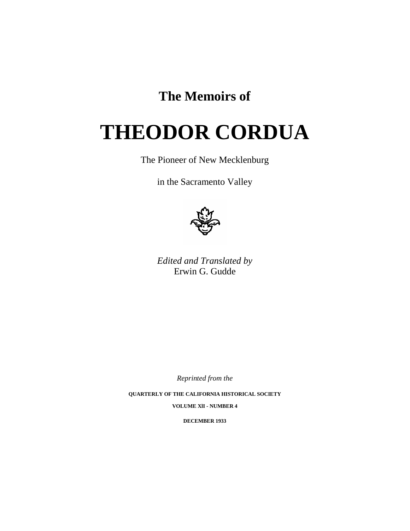## **The Memoirs of**

# **THEODOR CORDUA**

The Pioneer of New Mecklenburg

in the Sacramento Valley



*Edited and Translated by*  Erwin G. Gudde

*Reprinted from the* 

**QUARTERLY OF THE CALIFORNIA HISTORICAL SOCIETY** 

**VOLUME XlI - NUMBER 4**

**DECEMBER 1933**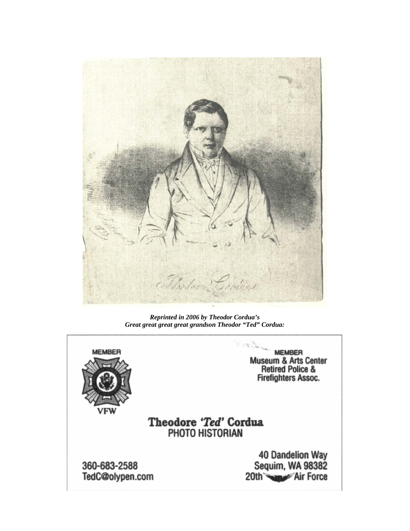

*Reprinted in 2006 by Theodor Cordua's Great great great great grandson Theodor "Ted" Cordua:*

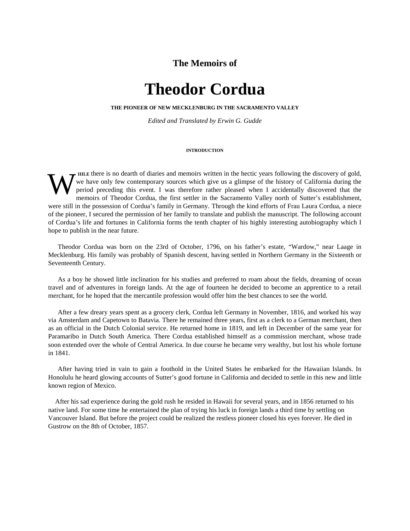### **The Memoirs of**

# **Theodor Cordua**

**THE PIONEER OF NEW MECKLENBURG IN THE SACRAMENTO VALLEY** 

*Edited and Translated by Erwin G. Gudde* 

### **INTRODUCTION**

IIILE there is no dearth of diaries and memoirs written in the hectic years following the discovery of gold, we have only few contemporary sources which give us a glimpse of the history of California during the period preceding this event. I was therefore rather pleased when I accidentally discovered that the memoirs of Theodor Cordua, the first settler in the Sacramento Valley north of Sutter's establishment, were still in the possession of Cordua's family in Germany. Through the kind efforts of Frau Laura Cordua, a niece of the pioneer, I secured the permission of her family to translate and publish the manuscript. The following account of Cordua's life and fortunes in California forms the tenth chapter of his highly interesting autobiography which I hope to publish in the near future. W

Theodor Cordua was born on the 23rd of October, 1796, on his father's estate, "Wardow," near Laage in Mecklenburg. His family was probably of Spanish descent, having settled in Northern Germany in the Sixteenth or Seventeenth Century.

As a boy he showed little inclination for his studies and preferred to roam about the fields, dreaming of ocean travel and of adventures in foreign lands. At the age of fourteen he decided to become an apprentice to a retail merchant, for he hoped that the mercantile profession would offer him the best chances to see the world.

After a few dreary years spent as a grocery clerk, Cordua left Germany in November, 1816, and worked his way via Amsterdam and Capetown to Batavia. There he remained three years, first as a clerk to a German merchant, then as an official in the Dutch Colonial service. He returned home in 1819, and left in December of the same year for Paramaribo in Dutch South America. There Cordua established himself as a commission merchant, whose trade soon extended over the whole of Central America. In due course he became very wealthy, but lost his whole fortune in 1841.

After having tried in vain to gain a foothold in the United States he embarked for the Hawaiian Islands. In Honolulu he heard glowing accounts of Sutter's good fortune in California and decided to settle in this new and little known region of Mexico.

After his sad experience during the gold rush he resided in Hawaii for several years, and in 1856 returned to his native land. For some time he entertained the plan of trying his luck in foreign lands a third time by settling on Vancouver Island. But before the project could be realized the restless pioneer closed his eyes forever. He died in Gustrow on the 8th of October, 1857.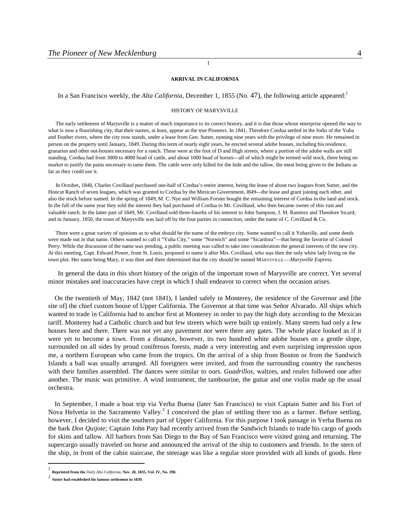### I

### **ARRIVAL IN CALIFORNIA**

In a San Francisco weekly, the *Alta California*, December 1, 1855 (No. 47), the following article appeared:<sup>1</sup>

### HISTORY OF MARYSVILLE

The early settlement of Marysville is a matter of much importance to its correct history, and it is due those whose enterprise opened the way to what is now a flourishing city, that their names, at least, appear as the true Pioneers. In 1841, Theodore Cordua settled in the forks of the Yuba and Feather rivers, where the city now stands, under a lease from Gen. Sutter, running nine years with the privilege of nine more. He remained in person on the property until January, 1849. During this term of nearly eight years, he erected several adobe houses, including his residence, granaries and other out-houses necessary for a ranch. These were at the foot of D and High streets, where a portion of the adobe walls are still standing. Cordua had from 3000 to 4000 head of cattle, and about 1000 head of horses—all of which might be termed wild stock, there being no market to justify the pains necessary to tame them. The cattle were only killed for the hide and the tallow, the meat being given to the Indians as far as they could use it.

In October**,** 1848, Charles Covillaud purchased one-half of Cordua's entire interest, being the lease of about two leagues from Sutter, and the Honcut Ranch of seven leagues, which was granted to Cordua by the Mexican Government, l849—the lease and grant joining each other, and also the stock before named. In the spring of 1849, M. C. Nye and William Forster bought the remaining interest of Cordua in the land and stock. In the fall of the same year they sold the interest they had purchased of Cordua to Mr. Covillaud, who then became owner of this vast and valuable ranch. In the latter part of 1849, Mr. Covillaud sold three-fourths of his interest to John Sampson, J. M. Ramirez and Theodore Sicard; and in January, 1850, the town of Marysville was laid off by the four parties in connection, under the name of C. Covillaud & Co.

There were a great variety of opinions as to what should be the name of the embryo city. Some wanted to call it Yubaville, and some deeds were made out in that name. Others wanted to call it "Yuba City," some "Norwich" and some "Sicardora"—that being the favorite of Colonel Perry. While the discussion of the name was pending, a public meeting was called to take into consideration the general interests of the new city. At this meeting, Capt. Edward Power, from St. Louis, proposed to name it after Mrs. Covillaud, who was then the only white lady living on the town plot. Her name being Mary, it was then and there determined that the city should be named MARYSVILLE.—*Marysville Express.*

In general the data in this short history of the origin of the important town of Marysville are correct. Yet several minor mistakes and inaccuracies have crept in which I shall endeavor to correct when the occasion arises.

On the twentieth of May, 1842 (not 1841), I landed safely in Monterey, the residence of the Governor and [the site of] the chief custom house of Upper California. The Governor at that time was Señor Alvarado. All ships which wanted to trade in California had to anchor first at Monterey in order to pay the high duty according to the Mexican tariff. Monterey had a Catholic church and but few streets which were built up entirely. Many streets had only a few houses here and there. There was not yet any pavement nor were there any gates. The whole place looked as if it were yet to become a town. From a distance, however, its two hundred white adobe houses on a gentle slope, surrounded on all sides by proud coniferous forests, made a very interesting and even surprising impression upon me, a northern European who came from the tropics. On the arrival of a ship from Boston or from the Sandwich Islands a ball was usually arranged. All foreigners were invited, and from the surrounding country the rancheros with their families assembled. The dances were similar to ours. *Guadrillos,* waltzes, and *reales* followed one after another. The music was primitive. A wind instrument, the tambourine, the guitar and one violin made up the usual orchestra.

In September, I made a boat trip via Yerba Buena (later San Francisco) to visit Captain Sutter and his Fort of Nova Helvetia in the Sacramento Valley.<sup>2</sup> I conceived the plan of settling there too as a farmer. Before settling, however, I decided to visit the southern part of Upper California. For this purpose I took passage in Yerba Buena on the bark *Don Quijote;* Captain John Paty had recently arrived from the Sandwich Islands to trade his cargo of goods for skins and tallow. All harbors from San Diego to the Bay of San Francisco were visited going and returning. The supercargo usually traveled on horse and announced the arrival of the ship to customers and friends. In the stern of the ship, in front of the cabin staircase, the steerage was like a regular store provided with all kinds of goods. Here

<sup>1</sup> **Reprinted from the** *Daily Alto California,* **Nov. 28, 1835, Vol. IV, No. 298.**

<sup>2</sup> **Sutter had estabbshed his famous settlement in 1839.**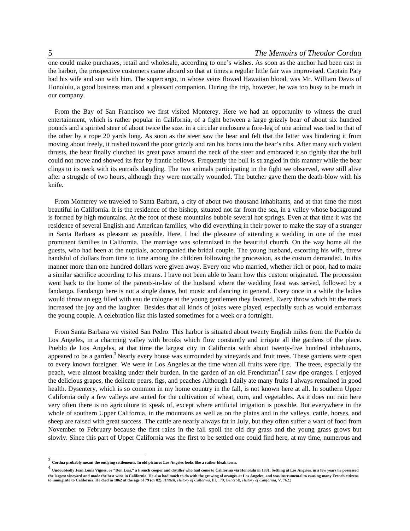-

### 5 *The Memoirs of Theodor Cordua*

one could make purchases, retail and wholesale, according to one's wishes. As soon as the anchor had been cast in the harbor, the prospective customers came aboard so that at times a regular little fair was improvised. Captain Paty had his wife and son with him. The supercargo, in whose veins flowed Hawaiian blood, was Mr. William Davis of Honolulu, a good business man and a pleasant companion. During the trip, however, he was too busy to be much in our company.

From the Bay of San Francisco we first visited Monterey. Here we had an opportunity to witness the cruel entertainment, which is rather popular in California, of a fight between a large grizzly bear of about six hundred pounds and a spirited steer of about twice the size. in a circular enclosure a fore-leg of one animal was tied to that of the other by a rope 20 yards long. As soon as the steer saw the bear and felt that the latter was hindering it from moving about freely, it rushed toward the poor grizzly and ran his horns into the bear's ribs. After many such violent thrusts, the bear finally clutched its great paws around the neck of the steer and embraced it so tightly that the bull could not move and showed its fear by frantic bellows. Frequently the bull is strangled in this manner while the bear clings to its neck with its entrails dangling. The two animals participating in the fight we observed, were still alive after a struggle of two hours, although they were mortally wounded. The butcher gave them the death-blow with his knife.

From Monterey we traveled to Santa Barbara, a city of about two thousand inhabitants, and at that time the most beautiful in California. It is the residence of the bishop, situated not far from the sea, in a valley whose background is formed by high mountains. At the foot of these mountains bubble several hot springs. Even at that time it was the residence of several English and American families, who did everything in their power to make the stay of a stranger in Santa Barbara as pleasant as possible. Here, I had the pleasure of attending a wedding in one of the most prominent families in California. The marriage was solemnized in the beautiful church. On the way home all the guests, who had been at the nuptials, accompanied the bridal couple. The young husband, escorting his wife, threw handsful of dollars from time to time among the children following the procession, as the custom demanded. In this manner more than one hundred dollars were given away. Every one who married, whether rich or poor, had to make a similar sacrifice according to his means. I have not been able to learn how this custom originated. The procession went back to the home of the parents-in-law of the husband where the wedding feast was served, followed by a fandango. Fandango here is not a single dance, but music and dancing in general. Every once in a while the ladies would throw an egg filled with eau de cologne at the young gentlemen they favored. Every throw which hit the mark increased the joy and the laughter. Besides that all kinds of jokes were played, especially such as would embarrass the young couple. A celebration like this lasted sometimes for a week or a fortnight.

From Santa Barbara we visited San Pedro. This harbor is situated about twenty English miles from the Pueblo de Los Angeles, in a charming valley with brooks which flow constantly and irrigate all the gardens of the place. Pueblo de Los Angeles, at that time the largest city in California with about twenty-five hundred inhabitants, appeared to be a garden.<sup>3</sup> Nearly every house was surrounded by vineyards and fruit trees. These gardens were open to every known foreigner. We were in Los Angeles at the time when all fruits were ripe. The trees, especially the peach, were almost breaking under their burden. In the garden of an old Frenchman<sup>4</sup> I saw ripe oranges. I enjoyed the delicious grapes, the delicate pears, figs, and peaches Although I daily ate many fruits I always remained in good health. Dysentery, which is so common in my home country in the fall, is not known here at all. In southern Upper California only a few valleys are suited for the cultivation of wheat, corn, and vegetables. As it does not rain here very often there is no agriculture to speak of, except where artificial irrigation is possible. But everywhere in the whole of southern Upper California, in the mountains as well as on the plains and in the valleys, cattle, horses, and sheep are raised with great success. The cattle are nearly always fat in July, but they often suffer a want of food from November to February because the first rains in the fall spoil the old dry grass and the young grass grows but slowly. Since this part of Upper California was the first to be settled one could find here, at my time, numerous and

<sup>3</sup> **Cordua probably meant the outlying settlements. In old pictures Los Angeles looks like a rather bleak town.**

<sup>4</sup> **Undoubtedly Jean Louis Vignes, or "Don Lois," a French cooper and distiller who had come to California via Honolulu in 1831. Settling at Los Angeles. in a few years he possessed the largest vineyard and made the best wine in California. He also had much to do with the growing of oranges at Los Angeles, and was instrumental to causing many French citizens to immigrate to California. He died in 1862 at the age of 79 (or 82).** *(Hittell, History of Calfornia,* III, 179; Bancroft, *History of California,* V. 762.)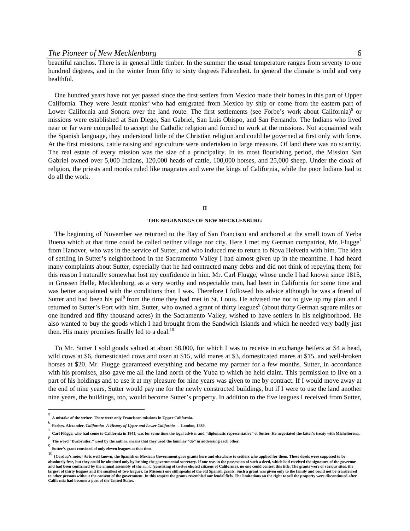beautiful ranchos. There is in general little timber. In the summer the usual temperature ranges from seventy to one hundred degrees, and in the winter from fifty to sixty degrees Fahrenheit. In general the climate is mild and very healthful.

One hundred years have not yet passed since the first settlers from Mexico made their homes in this part of Upper California. They were Jesuit monks<sup>5</sup> who had emigrated from Mexico by ship or come from the eastern part of Lower California and Sonora over the land route. The first settlements (see Forbe's work about California)<sup>6</sup> or missions were established at San Diego, San Gabriel, San Luis Obispo, and San Fernando. The Indians who lived near or far were compelled to accept the Catholic religion and forced to work at the missions. Not acquainted with the Spanish language, they understood little of the Christian religion and could be governed at first only with force. At the first missions, cattle raising and agriculture were undertaken in large measure. Of land there was no scarcity. The real estate of every mission was the size of a principality. In its most flourishing period, the Mission San Gabriel owned over 5,000 Indians, 120,000 heads of cattle, 100,000 horses, and 25,000 sheep. Under the cloak of religion, the priests and monks ruled like magnates and were the kings of California, while the poor Indians had to do all the work.

### **II**

### **THE BEGINNINGS OF NEW MECKLENBURG**

The beginning of November we returned to the Bay of San Francisco and anchored at the small town of Yerba Buena which at that time could be called neither village nor city. Here I met my German compatriot, Mr. Flugge<sup>7</sup> from Hanover, who was in the service of Sutter, and who induced me to return to Nova Helvetia with him. The idea of settling in Sutter's neighborhood in the Sacramento Valley I had almost given up in the meantime. I had heard many complaints about Sutter, especially that he had contracted many debts and did not think of repaying them; for this reason I naturally somewhat lost my confidence in him. Mr. Carl Flugge, whose uncle I had known since 1815, in Grossen Helle, Mecklenburg, as a very worthy and respectable man, had been in California for some time and was better acquainted with the conditions than I was. Therefore I followed his advice although he was a friend of Sutter and had been his pal<sup>8</sup> from the time they had met in St. Louis. He advised me not to give up my plan and I returned to Sutter's Fort with him. Sutter, who owned a grant of thirty leagues<sup>9</sup> (about thirty German square miles or one hundred and fifty thousand acres) in the Sacramento Valley, wished to have settlers in his neighborhood. He also wanted to buy the goods which I had brought from the Sandwich Islands and which he needed very badly just then. His many promises finally led to a deal. $^{10}$ 

To Mr. Sutter I sold goods valued at about \$8,000, for which I was to receive in exchange heifers at \$4 a head, wild cows at \$6, domesticated cows and oxen at \$15, wild mares at \$3, domesticated mares at \$15, and well-broken horses at \$20. Mr. Flugge guaranteed everything and became my partner for a few months. Sutter, in accordance with his promises, also gave me all the land north of the Yuba to which he held claim. This permission to live on a part of his holdings and to use it at my pleasure for nine years was given to me by contract. If I would move away at the end of nine years, Sutter would pay me for the newly constructed buildings, but if I were to use the land another nine years, the buildings, too, would become Sutter's property. In addition to the five leagues I received from Sutter,

<sup>5</sup> **A mistake of the writer. There were only Franciscan missions in Upper California.**

<sup>6</sup> **Forhes, Alexander,** *California: A History of Upper and Lower California* . . . , **London, 1839.**

The mend if bush make 11 weed by the outhon means that they weed the familian iide? in eddmosing each other. We all the negotiated the latter's treaty with Micheltorena.

 $\degree$  The word "Duzbruder," used by the author, means that they used the familiar "do" in addressing each other.<br>9

<sup>9</sup> **Sutter's grant consisted of only eleven leagues at that time.**

<sup>10</sup> **[Cordua's note:]** As is well known, the Spanish or Mexican Government gave grants here and elsewhere to settlers who applied for them. These deeds were supposed to be a local cordination of the government of the govern absolutely free, but they could be obtained only by bribing the governmental secretary. If one was in the possession of such a deed, which had received the signature of the governor and had been confirmed by the annual assembly of the *Junta* (consisting of twelve elected citizens of California), no one could contest this title. The grants were of various sites, the largest of thirty leagues and the smallest of two leagues. In Missouri one still speaks of the old Spanish grants. Such a grant was given only to the family and could not be transferred to other persons without the consent of the government. In this respect the grants resembled our feudal fiefs. The limitations on the right to sell the property were discontinued after **California had become a part of the United States.**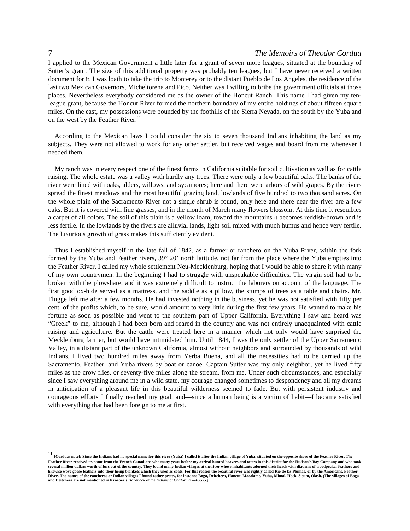-

### 7 *The Memoirs of Theodor Cordua*

I applied to the Mexican Government a little later for a grant of seven more leagues, situated at the boundary of Sutter's grant. The size of this additional property was probably ten leagues, but I have never received a written document for it. I was loath to take the trip to Monterey or to the distant Pueblo de Los Angeles, the residence of the last two Mexican Governors, Micheltorena and Pico. Neither was I willing to bribe the government officials at those places. Nevertheless everybody considered me as the owner of the Honcut Ranch. This name I had given my tenleague grant, because the Honcut River formed the northern boundary of my entire holdings of about fifteen square miles. On the east, my possessions were bounded by the foothills of the Sierra Nevada, on the south by the Yuba and on the west by the Feather River.<sup>11</sup>

According to the Mexican laws I could consider the six to seven thousand Indians inhabiting the land as my subjects. They were not allowed to work for any other settler, but received wages and board from me whenever I needed them.

My ranch was in every respect one of the finest farms in California suitable for soil cultivation as well as for cattle raising. The whole estate was a valley with hardly any trees. There were only a few beautiful oaks. The banks of the river were lined with oaks, alders, willows, and sycamores; here and there were arbors of wild grapes. By the rivers spread the finest meadows and the most beautiful grazing land, lowlands of five hundred to two thousand acres. On the whole plain of the Sacramento River not a single shrub is found, only here and there near the river are a few oaks. But it is covered with fine grasses, and in the month of March many flowers blossom. At this time it resembles a carpet of all colors. The soil of this plain is a yellow loam, toward the mountains it becomes reddish-brown and is less fertile. In the lowlands by the rivers are alluvial lands, light soil mixed with much humus and hence very fertile. The luxurious growth of grass makes this sufficiently evident.

Thus I established myself in the late fall of 1842, as a farmer or ranchero on the Yuba River, within the fork formed by the Yuba and Feather rivers, 39° 20' north latitude, not far from the place where the Yuba empties into the Feather River. I called my whole settlement Neu-Mecklenburg, hoping that I would be able to share it with many of my own countrymen. In the beginning I had to struggle with unspeakable difficulties. The virgin soil had to be broken with the plowshare, and it was extremely difficult to instruct the laborers on account of the language. The first good ox-hide served as a mattress, and the saddle as a pillow, the stumps of trees as a table and chairs. Mr. Flugge left me after a few months. He had invested nothing in the business, yet he was not satisfied with fifty per cent, of the profits which, to be sure, would amount to very little during the first few years. He wanted to make his fortune as soon as possible and went to the southern part of Upper California. Everything I saw and heard was "Greek" to me, although I had been born and reared in the country and was not entirely unacquainted with cattle raising and agriculture. But the cattle were treated here in a manner which not only would have surprised the Mecklenburg farmer, but would have intimidated him. Until 1844, I was the only settler of the Upper Sacramento Valley, in a distant part of the unknown California, almost without neighbors and surrounded by thousands of wild Indians. I lived two hundred miles away from Yerba Buena, and all the necessities had to be carried up the Sacramento, Feather, and Yuba rivers by boat or canoe. Captain Sutter was my only neighbor, yet he lived fifty miles as the crow flies, or seventy-five miles along the stream, from me. Under such circumstances, and especially since I saw everything around me in a wild state, my courage changed sometimes to despondency and all my dreams in anticipation of a pleasant life in this beautiful wilderness seemed to fade. But with persistent industry and courageous efforts I finally reached my goal, and—since a human being is a victim of habit—I became satisfied with everything that had been foreign to me at first.

<sup>11</sup> **[Corduas note]: Since the Indians had no special name for this river (Yuba) I called it after the Indian village of Yuba, situated on the opposite shore of the Feather River. The**  Feather River received its name from the French Canadians who many years before my arrival hunted beavers and otters in this district for the Hudson's Bay Company and who took several million dollars worth of furs out of the country. They found many Indian villages at the river whose inhabitants adorned their heads with diadems of woodpecker feathers and<br>likewise wove goose feathers into their h **River. The names of the rancheros or Indian villages I found rather pretty, for instance Boga, Deitchera, Honcut, Macalome. Yuba, Mimal. Hock, Sisum, Olash. (The villages of Boga and Deitchera are not mentioned in Kroeber's** *Handbook* of *the Indians* of *California.—E.G.G.)*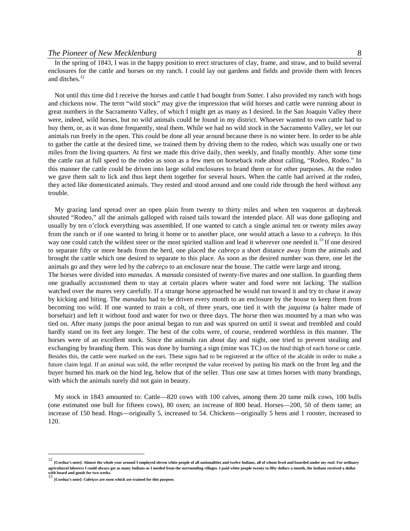In the spring of 1843, I was in the happy position to erect structures of clay, frame, and straw, and to build several enclosures for the cattle and horses on my ranch. I could lay out gardens and fields and provide them with fences and ditches.<sup>12</sup>

Not until this time did I receive the horses and cattle I had bought from Sutter. I also provided my ranch with hogs and chickens now. The term "wild stock" may give the impression that wild horses and cattle were running about in great numbers in the Sacramento Valley, of which I might get as many as I desired. In the San Joaquin Valley there were, indeed, wild horses, but no wild animals could be found in my district. Whoever wanted to own cattle had to buy them, or, as it was done frequently, steal them. While we had no wild stock in the Sacramento Valley, we let our animals run freely in the open. This could be done all year around because there is no winter here. In order to be able to gather the cattle at the desired time, we trained them by driving them to the rodeo, which was usually one or two miles from the living quarters. At first we made this drive daily, then weekly, and finally monthly. After some time the cattle ran at full speed to the rodeo as soon as a few men on horseback rode about calling, "Rodeo, Rodeo." In this manner the cattle could be driven into large solid enclosures to brand them or for other purposes. At the rodeo we gave them salt to lick and thus kept them together for several hours. When the cattle had arrived at the rodeo, they acted like domesticated animals. They rested and stood around and one could ride through the herd without any trouble.

My grazing land spread over an open plain from twenty to thirty miles and when ten vaqueros at daybreak shouted "Rodeo," all the animals galloped with raised tails toward the intended place. All was done galloping and usually by ten o'clock everything was assembled. If one wanted to catch a single animal ten or twenty miles away from the ranch or if one wanted to bring it home or to another place, one would attach a lasso to a *cabreço.* In this way one could catch the wildest steer or the most spirited stallion and lead it wherever one needed it.<sup>13</sup> If one desired to separate fifty or more heads from the herd, one placed the *cabreço* a short distance away from the animals and brought the cattle which one desired to separate to this place. As soon as the desired number was there, one let the animals go and they were led by the *cabreço* to an enclosure near the house. The cattle were large and strong.

The horses were divided into *manadas.* A *manada* consisted of twenty-five mares and one stallion. In guarding them one gradually accustomed them to stay at certain places where water and food were not lacking. The stallion watched over the mares very carefully. If a strange horse approached he would run toward it and try to chase it away by kicking and biting. The *manadas* had to be driven every month to an enclosure by the house to keep them from becoming too wild. If one wanted to train a colt, of three years, one tied it with the *jaquima* (a halter made of horsehair) and left it without food and water for two or three days. The horse then was mounted by a man who was tied on. After many jumps the poor animal began to run and was spurred on until it sweat and trembled and could hardly stand on its feet any longer. The best of the colts were, of course, rendered worthless in this manner. The horses were of an excellent stock. Since the animals ran about day and night, one tried to prevent stealing and exchanging by branding them. This was done by burning a sign (mine was TC) on the hind thigh of each horse or cattle. Besides this, the cattle were marked on the ears. These signs had to be registered at the office of the alcalde in order to make a future claim legal. If an animal was sold, the seller receipted the value received by putting his mark on the front leg and the buyer burned his mark on the hind leg, below that of the seller. Thus one saw at times horses with many brandings, with which the animals surely did not gain in beauty.

My stock in 1843 amounted to: Cattle—820 cows with 100 calves, among them 20 tame milk cows, 100 bulls (one estimated one bull for fifteen cows), 80 oxen; an increase of 800 head. Horses—200, 50 of them tame; an increase of 150 head. Hogs—originally 5, increased to 54. Chickens—originally 5 hens and 1 rooster, increased to 120.

<sup>&</sup>lt;sup>12</sup> [Cordua's note]: Almost the whole year around I employed eleven white people of all nationalities and twelve Indians, all of whom lived and boarded under my roof. For ordinary agricultural laborers I could always get as many Indians as I needed from the surrounding villages. I paid white people twenty to fifty dollars a month, the Indians received a dollar with board and goods for two weeks.<br>Wit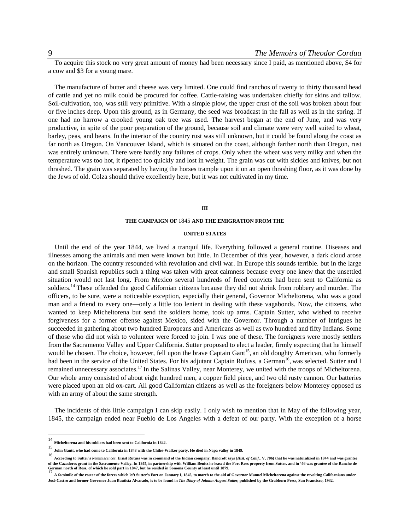To acquire this stock no very great amount of money had been necessary since I paid, as mentioned above, \$4 for a cow and \$3 for a young mare.

The manufacture of butter and cheese was very limited. One could find ranchos of twenty to thirty thousand head of cattle and yet no milk could be procured for coffee. Cattle-raising was undertaken chiefly for skins and tallow. Soil-cultivation, too, was still very primitive. With a simple plow, the upper crust of the soil was broken about four or five inches deep. Upon this ground, as in Germany, the seed was broadcast in the fall as well as in the spring. If one had no harrow a crooked young oak tree was used. The harvest began at the end of June, and was very productive, in spite of the poor preparation of the ground, because soil and climate were very well suited to wheat, barley, peas, and beans. In the interior of the country rust was still unknown, but it could be found along the coast as far north as Oregon. On Vancouver Island, which is situated on the coast, although farther north than Oregon, rust was entirely unknown. There were hardly any failures of crops. Only when the wheat was very milky and when the temperature was too hot, it ripened too quickly and lost in weight. The grain was cut with sickles and knives, but not thrashed. The grain was separated by having the horses trample upon it on an open thrashing floor, as it was done by the Jews of old. Colza should thrive excellently here, but it was not cultivated in my time.

### **III**

### **THE CAMPAIGN OF** 1845 **AND THE EMIGRATION FROM THE**

### **UNITED STATES**

Until the end of the year 1844, we lived a tranquil life. Everything followed a general routine. Diseases and illnesses among the animals and men were known but little. In December of this year, however, a dark cloud arose on the horizon. The country resounded with revolution and civil war. In Europe this sounds terrible. but in the large and small Spanish republics such a thing was taken with great calmness because every one knew that the unsettled situation would not last long. From Mexico several hundreds of freed convicts had been sent to California as soldiers.<sup>14</sup> These offended the good Californian citizens because they did not shrink from robbery and murder. The officers, to be sure, were a noticeable exception, especially their general, Governor Micheltorena, who was a good man and a friend to every one—only a little too lenient in dealing with these vagabonds. Now, the citizens, who wanted to keep Micheltorena but send the soldiers home, took up arms. Captain Sutter, who wished to receive forgiveness for a former offense against Mexico, sided with the Governor. Through a number of intrigues he succeeded in gathering about two hundred Europeans and Americans as well as two hundred and fifty Indians. Some of those who did not wish to volunteer were forced to join. I was one of these. The foreigners were mostly settlers from the Sacramento Valley and Upper California. Sutter proposed to elect a leader, firmly expecting that he himself would be chosen. The choice, however, fell upon the brave Captain Gant<sup>15</sup>, an old doughty American, who formerly had been in the service of the United States. For his adjutant Captain Rufuss, a German<sup>16</sup>, was selected. Sutter and I remained unnecessary associates.17 In the Salinas Valley, near Monterey, we united with the troops of Micheltorena. Our whole army consisted of about eight hundred men, a copper field piece, and two old rusty cannon. Our batteries were placed upon an old ox-cart. All good Californian citizens as well as the foreigners below Monterey opposed us with an army of about the same strength.

The incidents of this little campaign I can skip easily. I only wish to mention that in May of the following year, 1845, the campaign ended near Pueblo de Los Angeles with a defeat of our party. With the exception of a horse

<sup>14</sup> **Micheltorena and his soldiers had been sent to California in 1842.**

<sup>15</sup> **John Gantt, who had come to California in 1843 with the Chiles-Walker party. He died in Napa valley in 1849.**

<sup>16&</sup>lt;br>According to Sutter's *Reminiscences*, **Ernst Rutuss was in command of the Indian company. Bancroft says (Hist. of Calif,. V, 706) that he was naturalized in 1844 and was grantee** of the Cazadores grant in the Sacramento Valley. In 1845, in partnership with William Benitz he leased the Fort Ross property from Sutter. and in '46 was grantee of the Rancho de<br>German north of Ross, of which he sold part

A facsimile of the roster of the forces which left Sutter's Fort on January I. 1845, to march to the aid of Governor Manuel Micheltorena against the revolting Californians under José Castro and former Governor Juan Bautista Alvarado, is to be found in *The Diary of Johann August Sutter*, published by the Grabhorn Press, San Francisco, 1932.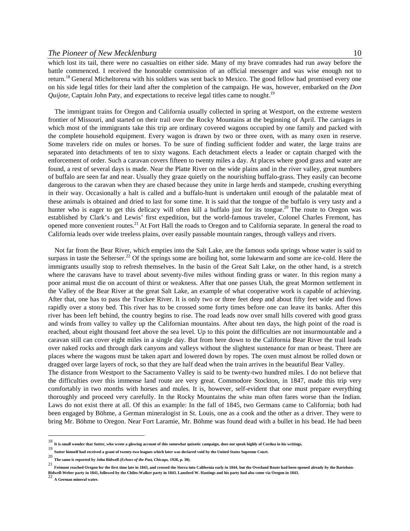which lost its tail, there were no casualties on either side. Many of my brave comrades had run away before the battle commenced. I received the honorable commission of an official messenger and was wise enough not to return.<sup>18</sup> General Micheltorena with his soldiers was sent back to Mexico. The good fellow had promised every one on his side legal titles for their land after the completion of the campaign. He was, however, embarked on the *Don Quijote*, Captain John Paty, and expectations to receive legal titles came to nought.<sup>19</sup>

The immigrant trains for Oregon and California usually collected in spring at Westport, on the extreme western frontier of Missouri, and started on their trail over the Rocky Mountains at the beginning of April. The carriages in which most of the immigrants take this trip are ordinary covered wagons occupied by one family and packed with the complete household equipment. Every wagon is drawn by two or three oxen, with as many oxen in reserve. Some travelers ride on mules or horses. To be sure of finding sufficient fodder and water, the large trains are separated into detachments of ten to sixty wagons. Each detachment elects a leader or captain charged with the enforcement of order. Such a caravan covers fifteen to twenty miles a day. At places where good grass and water are found, a rest of several days is made. Near the Platte River on the wide plains and in the river valley, great numbers of buffalo are seen far and near. Usually they graze quietly on the nourishing buffalo-grass. They easily can become dangerous to the caravan when they are chased because they unite in large herds and stampede, crushing everything in their way. Occasionally a halt is called and a buffalo-hunt is undertaken until enough of the palatable meat of these animals is obtained and dried to last for some time. It is said that the tongue of the buffalo is very tasty and a hunter who is eager to get this delicacy will often kill a buffalo just for its tongue.<sup>20</sup> The route to Oregon was established by Clark's and Lewis' first expedition, but the world-famous traveler, Colonel Charles Fremont, has opened more convenient routes.21 At Fort Hall the roads to Oregon and to California separate. In general the road to California leads over wide treeless plains, over easily passable mountain ranges, through valleys and rivers.

Not far from the Bear River, which empties into the Salt Lake, are the famous soda springs whose water is said to surpass in taste the Selterser.<sup>22</sup> Of the springs some are boiling hot, some lukewarm and some are ice-cold. Here the immigrants usually stop to refresh themselves. In the basin of the Great Salt Lake, on the other hand, is a stretch where the caravans have to travel about seventy-five miles without finding grass or water. In this region many a poor animal must die on account of thirst or weakness. After that one passes Utah, the great Mormon settlement in the Valley of the Bear River at the great Salt Lake, an example of what cooperative work is capable of achieving. After that, one has to pass the Truckee River. It is only two or three feet deep and about fifty feet wide and flows rapidly over a stony bed. This river has to be crossed some forty times before one can leave its banks. After this river has been left behind, the country begins to rise. The road leads now over small hills covered with good grass and winds from valley to valley up the Californian mountains. After about ten days, the high point of the road is reached, about eight thousand feet above the sea level. Up to this point the difficulties are not insurmountable and a caravan still can cover eight miles in a single day. But from here down to the California Bear River the trail leads over naked rocks and through dark canyons and valleys without the slightest sustenance for man or beast. There are places where the wagons must be taken apart and lowered down by ropes. The oxen must almost be rolled down or dragged over large layers of rock, so that they are half dead when the train arrives in the beautiful Bear Valley. The distance from Westport to the Sacramento Valley is said to be twenty-two hundred miles. I do not believe that the difficulties over this immense land route are very great. Commodore Stockton, in 1847, made this trip very comfortably in two months with horses and mules. It is, however, self-evident that one must prepare everything

thoroughly and proceed very carefully. In the Rocky Mountains the white man often fares worse than the Indian. Laws do not exist there at all. Of this an example: In the fall of 1845, two Germans came to California; both had been engaged by Böhme, a German mineralogist in St. Louis, one as a cook and the other as a driver. They were to bring Mr. Böhme to Oregon. Near Fort Laramie, Mr. Böhme was found dead with a bullet in his bead. He had been

<sup>18</sup> **It is small wonder that Sutter, who wrote a glowing account of this somewhat quixotic campaign, does not speak highly of Cordua in his writings.**

<sup>19</sup> **Sutter himself had received a grant of twenty-two leagues which later was declared void by the United States Supreme Court.**

<sup>20</sup> **The same is reported by John Bidwell** *(Echoes of the Past, Chicago,* **1928, p. 30).**

<sup>21</sup> **Frémont reached Oregon for the first time late in 1843, and crossed the Sierra into California early in 1844, but the Overland Route had been opened already by the Bartelson-**Bidwell-Weber party in 1841, followed by the Chiles-Walker party in 1843. Lansford W. Hastings and his party had also come via Oregon in 1843.<br><sup>22</sup> A German mineral water.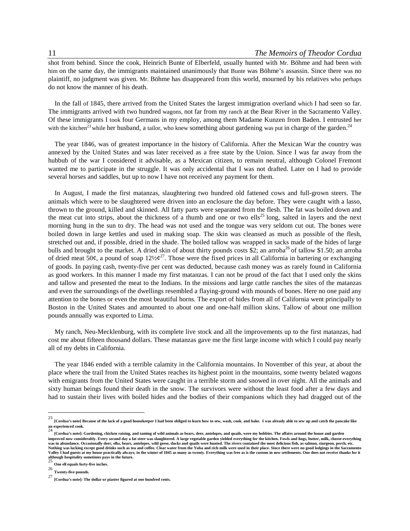shot from behind. Since the cook, Heinrich Bunte of Elberfeld, usually hunted with Mr. Böhme and had been with him on the same day, the immigrants maintained unanimously that Bunte was Böhme's assassin. Since there was no plaintiff, no judgment was given. Mr. Böhme has disappeared from this world, mourned by his relatives who perhaps do not know the manner of his death.

In the fall of 1845, there arrived from the United States the largest immigration overland which I had seen so far. The immigrants arrived with two hundred wagons, not far from my ranch at the Bear River in the Sacramento Valley. Of these immigrants I took four Germans in my employ, among them Madame Kunzen from Baden. I entrusted her with the kitchen<sup>23</sup> while her husband, a tailor, who knew something about gardening was put in charge of the garden.<sup>24</sup>

The year 1846, was of greatest importance in the history of California. After the Mexican War the country was annexed by the United States and was later received as a free state by the Union. Since I was far away from the hubbub of the war I considered it advisable, as a Mexican citizen, to remain neutral, although Colonel Fremont wanted me to participate in the struggle. It was only accidental that I was not drafted. Later on I had to provide several horses and saddles, but up to now I have not received any payment for them.

In August, I made the first matanzas, slaughtering two hundred old fattened cows and full-grown steers. The animals which were to be slaughtered were driven into an enclosure the day before. They were caught with a lasso, thrown to the ground, killed and skinned. All fatty parts were separated from the flesh. The fat was boiled down and the meat cut into strips, about the thickness of a thumb and one or two ells<sup>25</sup> long, salted in layers and the next morning hung in the sun to dry. The head was not used and the tongue was very seldom cut out. The bones were boiled down in large kettles and used in making soap. The skin was cleansed as much as possible of the flesh, stretched out and, if possible, dried in the shade. The boiled tallow was wrapped in sacks made of the hides of large bulls and brought to the market. A dried skin of about thirty pounds costs \$2; an arroba<sup>26</sup> of tallow \$1.50; an arroba of dried meat 50¢, a pound of soap  $12\frac{1}{2}e^{27}$ . Those were the fixed prices in all California in bartering or exchanging of goods. In paying cash, twenty-five per cent was deducted, because cash money was as rarely found in California as good workers. In this manner I made my first matanzas. I can not be proud of the fact that I used only the skins and tallow and presented the meat to the Indians. In the missions and large cattle ranches the sites of the matanzas and even the surroundings of the dwellings resembled a flaying-ground with mounds of bones. Here no one paid any attention to the bones or even the most beautiful horns. The export of hides from all of California went principally to Boston in the United States and amounted to about one and one-half million skins. Tallow of about one million pounds annually was exported to Lima.

My ranch, Neu-Mecklenburg, with its complete live stock and all the improvements up to the first matanzas, had cost me about fifteen thousand dollars. These matanzas gave me the first large income with which I could pay nearly all of my debts in California.

The year 1846 ended with a terrible calamity in the California mountains. In November of this year, at about the place where the trail from the United States reaches its highest point in the mountains, some twenty belated wagons with emigrants from the United States were caught in a terrible storm and snowed in over night. All the animals and sixty human beings found their death in the snow. The survivors were without the least food after a few days and had to sustain their lives with boiled hides and the bodies of their companions which they had dragged out of the

<sup>23</sup> **[Cordua's note] Because of the lack of a good housekeeper I had been obliged to learn how to sew, wash, cook. and bake. I was already able to sew up and catch the pancake like and experienced cook.**<br>
24

<sup>24</sup> **[Cordua's note]: Gardening, chicken raising, and taming of wild animals as bears, deer, antelopes, and quails, were my hobbies. The affairs around the house and garden improved now considerably. Every second day a fat steer was slaughtered. A large vegetable garden yielded everything for the kitchen. Fowls and hogs, butter, milk, cheese-everything**  was in abundance. Occasionally deer, elks, bears, antelopes, wild geese, ducks and quails were hunted. The rivers contained the most delicious fish, as salmon, sturgeon, perch, etc.<br>Nothing was lacking except good drinks s **Valley I had guests at my house practically always; in the winter of 1845 as many as twenty. Everything was free as is the custom in new settlements. One does not receive thanks for it**  although hospitality sometimes pays in the future.<br>25

<sup>25</sup> **One ell equals forty-five inches.**

<sup>26</sup> **Twenty-five pounds.**

<sup>27</sup> **[Cordua's note]: The dollar or piaster figured at one hundred cents.**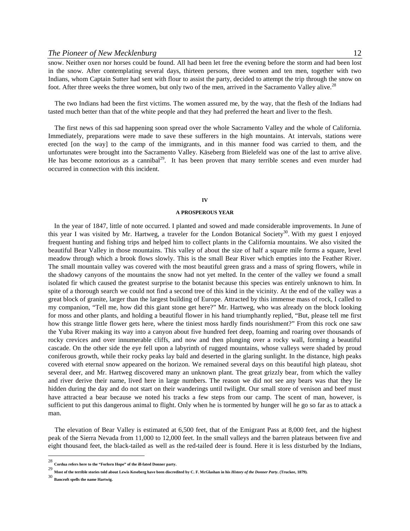snow. Neither oxen nor horses could be found. All had been let free the evening before the storm and had been lost in the snow. After contemplating several days, thirteen persons, three women and ten men, together with two Indians, whom Captain Sutter had sent with flour to assist the party, decided to attempt the trip through the snow on foot. After three weeks the three women, but only two of the men, arrived in the Sacramento Valley alive.<sup>28</sup>

The two Indians had been the first victims. The women assured me, by the way, that the flesh of the Indians had tasted much better than that of the white people and that they had preferred the heart and liver to the flesh.

The first news of this sad happening soon spread over the whole Sacramento Valley and the whole of California. Immediately, preparations were made to save these sufferers in the high mountains. At intervals, stations were erected [on the way] to the camp of the immigrants, and in this manner food was carried to them, and the unfortunates were brought into the Sacramento Valley. Käseberg from Bielefeld was one of the last to arrive alive. He has become notorious as a cannibal<sup>29</sup>. It has been proven that many terrible scenes and even murder had occurred in connection with this incident.

### **IV**

### **A PROSPEROUS YEAR**

In the year of 1847, little of note occurred. I planted and sowed and made considerable improvements. In June of this year I was visited by Mr. Hartweg, a traveler for the London Botanical Society<sup>30</sup>. With my guest I enjoyed frequent hunting and fishing trips and helped him to collect plants in the California mountains. We also visited the beautiful Bear Valley in those mountains. This valley of about the size of half a square mile forms a square, level meadow through which a brook flows slowly. This is the small Bear River which empties into the Feather River. The small mountain valley was covered with the most beautiful green grass and a mass of spring flowers, while in the shadowy canyons of the mountains the snow had not yet melted. In the center of the valley we found a small isolated fir which caused the greatest surprise to the botanist because this species was entirely unknown to him. In spite of a thorough search we could not find a second tree of this kind in the vicinity. At the end of the valley was a great block of granite, larger than the largest building of Europe. Attracted by this immense mass of rock, I called to my companion, "Tell me, how did this giant stone get here?" Mr. Hartweg, who was already on the block looking for moss and other plants, and holding a beautiful flower in his hand triumphantly replied, "But, please tell me first how this strange little flower gets here, where the tiniest moss hardly finds nourishment?" From this rock one saw the Yuba River making its way into a canyon about five hundred feet deep, foaming and roaring over thousands of rocky crevices and over innumerable cliffs, and now and then plunging over a rocky wall, forming a beautiful cascade. On the other side the eye fell upon a labyrinth of rugged mountains, whose valleys were shaded by proud coniferous growth, while their rocky peaks lay bald and deserted in the glaring sunlight. In the distance, high peaks covered with eternal snow appeared on the horizon. We remained several days on this beautiful high plateau, shot several deer, and Mr. Hartweg discovered many an unknown plant. The great grizzly bear, from which the valley and river derive their name, lived here in large numbers. The reason we did not see any bears was that they lie hidden during the day and do not start on their wanderings until twilight. Our small store of venison and beef must have attracted a bear because we noted his tracks a few steps from our camp. The scent of man, however, is sufficient to put this dangerous animal to flight. Only when he is tormented by hunger will he go so far as to attack a man.

The elevation of Bear Valley is estimated at 6,500 feet, that of the Emigrant Pass at 8,000 feet, and the highest peak of the Sierra Nevada from 11,000 to 12,000 feet. In the small valleys and the barren plateaus between five and eight thousand feet, the black-tailed as well as the red-tailed deer is found. Here it is less disturbed by the Indians,

<sup>28</sup> **Cordua refers here to the "Forlorn Hope" of the ill-fated Donner party.**

<sup>29</sup> **Most of the terrible stories told about Lewis Keseberg have been discredited by C. F. McGlashan in his** *History of the Donner Party***. (Truckee, 1879).**

<sup>30</sup> **Bancroft spells the name Hartwig.**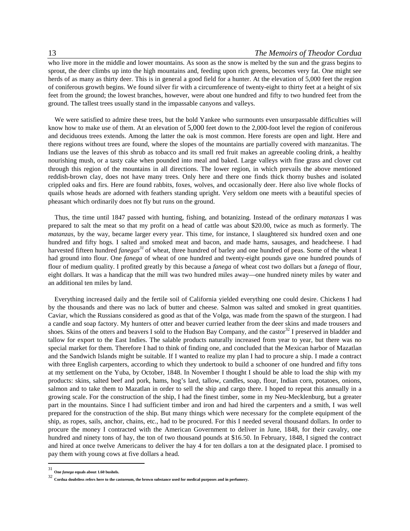who live more in the middle and lower mountains. As soon as the snow is melted by the sun and the grass begins to sprout, the deer climbs up into the high mountains and, feeding upon rich greens, becomes very fat. One might see herds of as many as thirty deer. This is in general a good field for a hunter. At the elevation of 5,000 feet the region of coniferous growth begins. We found silver fir with a circumference of twenty-eight to thirty feet at a height of six feet from the ground; the lowest branches, however, were about one hundred and fifty to two hundred feet from the ground. The tallest trees usually stand in the impassable canyons and valleys.

We were satisfied to admire these trees, but the bold Yankee who surmounts even unsurpassable difficulties will know how to make use of them. At an elevation of 5,000 feet down to the 2,000-foot level the region of coniferous and deciduous trees extends. Among the latter the oak is most common. Here forests are open and light. Here and there regions without trees are found, where the slopes of the mountains are partially covered with manzanitas. The Indians use the leaves of this shrub as tobacco and its small red fruit makes an agreeable cooling drink, a healthy nourishing mush, or a tasty cake when pounded into meal and baked. Large valleys with fine grass and clover cut through this region of the mountains in all directions. The lower region, in which prevails the above mentioned reddish-brown clay, does not have many trees. Only here and there one finds thick thorny bushes and isolated crippled oaks and firs. Here are found rabbits, foxes, wolves, and occasionally deer. Here also live whole flocks of quails whose heads are adorned with feathers standing upright. Very seldom one meets with a beautiful species of pheasant which ordinarily does not fly but runs on the ground.

Thus, the time until 1847 passed with hunting, fishing, and botanizing. Instead of the ordinary *matanzas* I was prepared to salt the meat so that my profit on a head of cattle was about \$20.00, twice as much as formerly. The *matanzas,* by the way, became larger every year. This time, for instance, I slaughtered six hundred oxen and one hundred and fifty hogs. I salted and smoked meat and bacon, and made hams, sausages, and headcheese. I had harvested fifteen hundred *fanegas<sup>31</sup>* of wheat, three hundred of barley and one hundred of peas. Some of the wheat I had ground into flour. One *fanega* of wheat of one hundred and twenty-eight pounds gave one hundred pounds of flour of medium quality. I profited greatly by this because a *fanega* of wheat cost two dollars but a *fanega* of flour, eight dollars. It was a handicap that the mill was two hundred miles away—one hundred ninety miles by water and an additional ten miles by land.

Everything increased daily and the fertile soil of California yielded everything one could desire. Chickens I had by the thousands and there was no lack of butter and cheese. Salmon was salted and smoked in great quantities. Caviar, which the Russians considered as good as that of the Volga, was made from the spawn of the sturgeon. I had a candle and soap factory. My hunters of otter and beaver curried leather from the deer skins and made trousers and shoes. Skins of the otters and beavers I sold to the Hudson Bay Company, and the castor<sup>32</sup> I preserved in bladder and tallow for export to the East Indies. The salable products naturally increased from year to year, but there was no special market for them. Therefore I had to think of finding one, and concluded that the Mexican harbor of Mazatlan and the Sandwich Islands might be suitable. If I wanted to realize my plan I had to procure a ship. I made a contract with three English carpenters, according to which they undertook to build a schooner of one hundred and fifty tons at my settlement on the Yuba, by October, 1848. In November I thought I should be able to load the ship with my products: skins, salted beef and pork, hams, hog's lard, tallow, candles, soap, flour, Indian corn, potatoes, onions, salmon and to take them to Mazatlan in order to sell the ship and cargo there. I hoped to repeat this annually in a growing scale. For the construction of the ship, I had the finest timber, some in my Neu-Mecklenburg, but a greater part in the mountains. Since I had sufficient timber and iron and had hired the carpenters and a smith, I was well prepared for the construction of the ship. But many things which were necessary for the complete equipment of the ship, as ropes, sails, anchor, chains, etc., had to be procured. For this I needed several thousand dollars. In order to procure the money I contracted with the American Government to deliver in June, 1848, for their cavalry, one hundred and ninety tons of hay, the ton of two thousand pounds at \$16.50. In February, 1848, I signed the contract and hired at once twelve Americans to deliver the hay 4 for ten dollars a ton at the designated place. I promised to pay them with young cows at five dollars a head.

<sup>31</sup> **One** *fanega* **equals about 1.60 bushels.**

<sup>32</sup> **Cordua doubtless refers here to the castoreum, the brown substance used for medical purposes and in perfumery.**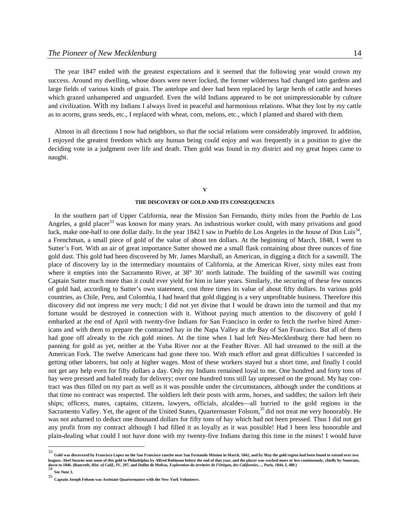The year 1847 ended with the greatest expectations and it seemed that the following year would crown my success. Around my dwelling, whose doors were never locked, the former wilderness had changed into gardens and large fields of various kinds of grain. The antelope and deer had been replaced by large herds of cattle and horses which grazed unhampered and unguarded. Even the wild Indians appeared to be not unimpressionable by culture and civilization. With my Indians I always lived in peaceful and harmonious relations. What they lost by my cattle as to acorns, grass seeds, etc., I replaced with wheat, corn, melons, etc., which I planted and shared with them.

Almost in all directions I now had neighbors, so that the social relations were considerably improved. In addition, I enjoyed the greatest freedom which any human being could enjoy and was frequently in a position to give the deciding vote in a judgment over life and death. Then gold was found in my district and my great hopes came to naught.

### **V**

### **THE DISCOVERY OF GOLD AND ITS CONSEQUENCES**

In the southern part of Upper California, near the Mission San Fernando, thirty miles from the Pueblo de Los Angeles, a gold placer<sup>33</sup> was known for many years. An industrious worker could, with many privations and good luck, make one-half to one dollar daily. In the year  $1842$  I saw in Pueblo de Los Angeles in the house of Don Luis<sup>34</sup>, a Frenchman, a small piece of gold of the value of about ten dollars. At the beginning of March, 1848, I went to Sutter's Fort. With an air of great importance Sutter showed me a small flask containing about three ounces of fine gold dust. This gold had been discovered by Mr. James Marshall, an American, in digging a ditch for a sawmill. The place of discovery lay in the intermediary mountains of California, at the American River, sixty miles east from where it empties into the Sacramento River, at 38° 30' north latitude. The building of the sawmill was costing Captain Sutter much more than it could ever yield for him in later years. Similarly, the securing of these few ounces of gold had, according to Sutter's own statement, cost three times its value of about fifty dollars. In various gold countries, as Chile, Peru, and Colombia, I had heard that gold digging is a very unprofitable business. Therefore this discovery did not impress me very much; I did not yet divine that I would be drawn into the turmoil and that my fortune would be destroyed in connection with it. Without paying much attention to the discovery of gold I embarked at the end of April with twenty-five Indians for San Francisco in order to fetch the twelve hired Americans and with them to prepare the contracted hay in the Napa Valley at the Bay of San Francisco. But all of them had gone off already to the rich gold mines. At the time when I had left Neu-Mecklenburg there had been no panning for gold as yet, neither at the Yuba River nor at the Feather River. All had streamed to the mill at the American Fork. The twelve Americans had gone there too. With much effort and great difficulties I succeeded in getting other laborers, but only at higher wages. Most of these workers stayed but a short time, and finally I could not get any help even for fifty dollars a day. Only my Indians remained loyal to me. One hundred and forty tons of hay were pressed and baled ready for delivery; over one hundred tons still lay unpressed on the ground. My hay contract was thus filled on my part as well as it was possible under the circumstances, although under the conditions at that time no contract was respected. The soldiers left their posts with arms, horses, and saddles; the sailors left their ships; officers, mates, captains, citizens, lawyers, officials, alcaldes—all hurried to the gold regions in the Sacramento Valley. Yet, the agent of the United States, Quartermaster Folsom,<sup>35</sup> did not treat me very honorably. He was not ashamed to deduct one thousand dollars for fifty tons of hay which had not been pressed. Thus I did not get any profit from my contract although I had filled it as loyally as it was possible! Had I been less honorable and plain-dealing what could I not have done with my twenty-five Indians during this time in the mines! I would have

<sup>&</sup>lt;sup>33</sup> Gold was discovered by Francisco Lopez on the San Francisco rancho near San Fernando Mission in March, 1842, and by May the gold region had been found to extend over two **Canadian Contract of the Canadian Contract of leagues. Abel Stearns sent some of this gold to Philadelphia by Alfred Robinson before the end of that year, and the placer was worked more or less continuously, chiefly by Sonorans,**  down to 1846. (Bancroft, *Hist. of Calif.*, **IV, 297**, and Duflot de Mofras, *Exploration du territoire de l'Orègon, des Californies...,* Paris, 1844, I, 489.)<br><sup>34</sup> See Note 3.

<sup>35</sup> **Captain Joseph Folsom was Assistant Quartermaster with the New York Volunteers.**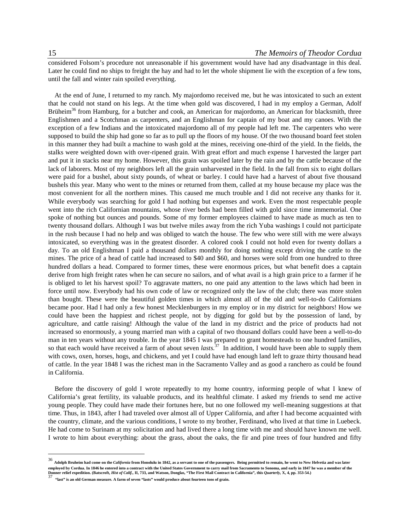-

### 15 *The Memoirs of Theodor Cordua*

considered Folsom's procedure not unreasonable if his government would have had any disadvantage in this deal. Later he could find no ships to freight the hay and had to let the whole shipment lie with the exception of a few tons, until the fall and winter rain spoiled everything.

At the end of June, I returned to my ranch. My majordomo received me, but he was intoxicated to such an extent that he could not stand on his legs. At the time when gold was discovered, I had in my employ a German, Adolf Brüheim<sup>36</sup> from Hamburg, for a butcher and cook, an American for majordomo, an American for blacksmith, three Englishmen and a Scotchman as carpenters, and an Englishman for captain of my boat and my canoes. With the exception of a few Indians and the intoxicated majordomo all of my people had left me. The carpenters who were supposed to build the ship had gone so far as to pull up the floors of my house. Of the two thousand board feet stolen in this manner they had built a machine to wash gold at the mines, receiving one-third of the yield. In the fields, the stalks were weighted down with over-ripened grain. With great effort and much expense I harvested the larger part and put it in stacks near my home. However, this grain was spoiled later by the rain and by the cattle because of the lack of laborers. Most of my neighbors left all the grain unharvested in the field. In the fall from six to eight dollars were paid for a bushel, about sixty pounds, of wheat or barley. I could have had a harvest of about five thousand bushels this year. Many who went to the mines or returned from them, called at my house because my place was the most convenient for all the northern mines. This caused me much trouble and I did not receive any thanks for it. While everybody was searching for gold I had nothing but expenses and work. Even the most respectable people went into the rich Californian mountains, whose river beds had been filled with gold since time immemorial. One spoke of nothing but ounces and pounds. Some of my former employees claimed to have made as much as ten to twenty thousand dollars. Although I was but twelve miles away from the rich Yuba washings I could not participate in the rush because I had no help and was obliged to watch the house. The few who were still with me were always intoxicated, so everything was in the greatest disorder. A colored cook I could not hold even for twenty dollars a day. To an old Englishman I paid a thousand dollars monthly for doing nothing except driving the cattle to the mines. The price of a head of cattle had increased to \$40 and \$60, and horses were sold from one hundred to three hundred dollars a head. Compared to former times, these were enormous prices, but what benefit does a captain derive from high freight rates when he can secure no sailors, and of what avail is a high grain price to a farmer if he is obliged to let his harvest spoil? To aggravate matters, no one paid any attention to the laws which had been in force until now. Everybody had his own code of law or recognized only the law of the club; there was more stolen than bought. These were the beautiful golden times in which almost all of the old and well-to-do Californians became poor. Had I had only a few honest Mecklenburgers in my employ or in my district for neighbors! How we could have been the happiest and richest people, not by digging for gold but by the possession of land, by agriculture, and cattle raising! Although the value of the land in my district and the price of products had not increased so enormously, a young married man with a capital of two thousand dollars could have been a well-to-do man in ten years without any trouble. In the year 1845 I was prepared to grant homesteads to one hundred families, so that each would have received a farm of about seven *lasts.*37 In addition, I would have been able to supply them with cows, oxen, horses, hogs, and chickens, and yet I could have had enough land left to graze thirty thousand head of cattle. In the year 1848 I was the richest man in the Sacramento Valley and as good a ranchero as could be found in California.

Before the discovery of gold I wrote repeatedly to my home country, informing people of what I knew of California's great fertility, its valuable products, and its healthful climate. I asked my friends to send me active young people. They could have made their fortunes here, but no one followed my well-meaning suggestions at that time. Thus, in 1843, after I had traveled over almost all of Upper California, and after I had become acquainted with the country, climate, and the various conditions, I wrote to my brother, Ferdinand, who lived at that time in Luebeck. He had come to Surinam at my solicitation and had lived there a long time with me and should have known me well. I wrote to him about everything: about the grass, about the oaks, the fir and pine trees of four hundred and fifty

<sup>36</sup> **Adolph Bruheim had come on the** *California* **from Honolulu in 1842, as a servant to one of the passengers. Being permitted to remain, he went to New Helvetia and was later** employed by Cordua. In 1846 he entered into a contract with the United States Government to carry mail from Sacramento to Sonoma, and early in 1847 he was a member of the Donner relief expedition. (Batscroft, *Hist of Cali*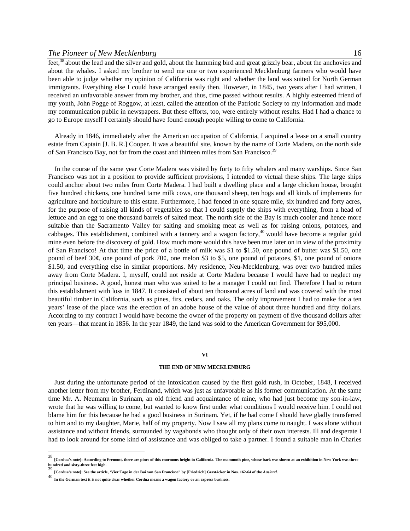### *The Pioneer of New Mecklenburg* 16

feet,<sup>38</sup> about the lead and the silver and gold, about the humming bird and great grizzly bear, about the anchovies and about the whales. I asked my brother to send me one or two experienced Mecklenburg farmers who would have been able to judge whether my opinion of California was right and whether the land was suited for North German immigrants. Everything else I could have arranged easily then. However, in 1845, two years after I had written, I received an unfavorable answer from my brother, and thus, time passed without results. A highly esteemed friend of my youth, John Pogge of Roggow, at least, called the attention of the Patriotic Society to my information and made my communication public in newspapers. But these efforts, too, were entirely without results. Had I had a chance to go to Europe myself I certainly should have found enough people willing to come to California.

Already in 1846, immediately after the American occupation of California, I acquired a lease on a small country estate from Captain [J. B. R.] Cooper. It was a beautiful site, known by the name of Corte Madera, on the north side of San Francisco Bay, not far from the coast and thirteen miles from San Francisco.<sup>39</sup>

In the course of the same year Corte Madera was visited by forty to fifty whalers and many warships. Since San Francisco was not in a position to provide sufficient provisions, I intended to victual these ships. The large ships could anchor about two miles from Corte Madera. I had built a dwelling place and a large chicken house, brought five hundred chickens, one hundred tame milk cows, one thousand sheep, ten hogs and all kinds of implements for agriculture and horticulture to this estate. Furthermore, I had fenced in one square mile, six hundred and forty acres, for the purpose of raising all kinds of vegetables so that I could supply the ships with everything, from a head of lettuce and an egg to one thousand barrels of salted meat. The north side of the Bay is much cooler and hence more suitable than the Sacramento Valley for salting and smoking meat as well as for raising onions, potatoes, and cabbages. This establishment, combined with a tannery and a wagon factory,<sup>40</sup> would have become a regular gold mine even before the discovery of gold. How much more would this have been true later on in view of the proximity of San Francisco! At that time the price of a bottle of milk was \$1 to \$1.50, one pound of butter was \$1.50, one pound of beef 30¢, one pound of pork 70¢, one melon \$3 to \$5, one pound of potatoes, \$1, one pound of onions \$1.50, and everything else in similar proportions. My residence, Neu-Mecklenburg, was over two hundred miles away from Corte Madera. I, myself, could not reside at Corte Madera because I would have had to neglect my principal business. A good, honest man who was suited to be a manager I could not find. Therefore I had to return this establishment with loss in 1847. It consisted of about ten thousand acres of land and was covered with the most beautiful timber in California, such as pines, firs, cedars, and oaks. The only improvement I had to make for a ten years' lease of the place was the erection of an adobe house of the value of about three hundred and fifty dollars. According to my contract I would have become the owner of the property on payment of five thousand dollars after ten years—that meant in 1856. In the year 1849, the land was sold to the American Government for \$95,000.

### **VI**

### **THE END OF NEW MECKLENBURG**

Just during the unfortunate period of the intoxication caused by the first gold rush, in October, 1848, I received another letter from my brother, Ferdinand, which was just as unfavorable as his former communication. At the same time Mr. A. Neumann in Surinam, an old friend and acquaintance of mine, who had just become my son-in-law, wrote that he was willing to come, but wanted to know first under what conditions I would receive him. I could not blame him for this because he had a good business in Surinam. Yet, if he had come I should have gladly transferred to him and to my daughter, Marie, half of my property. Now I saw all my plans come to naught. I was alone without assistance and without friends, surrounded by vagabonds who thought only of their own interests. Ill and desperate I had to look around for some kind of assistance and was obliged to take a partner. I found a suitable man in Charles

<sup>38</sup> **[Cordua's note]: According to Fremont, there are pines of this enormous height in California. The mammoth pine, whose bark was shown at an exhibition in New York was three hundred and sixty-three feet high.** 39

**<sup>[</sup>Cordua's note]: See the article, 'Vier Tage in der Bai von San Francisco" by [Friedrich] Gerstäcker in Nos. 162-64 of the** *Ausland.*

<sup>40</sup> **In the German text it is not quite clear whether Cordua means a wagon factory or an express business.**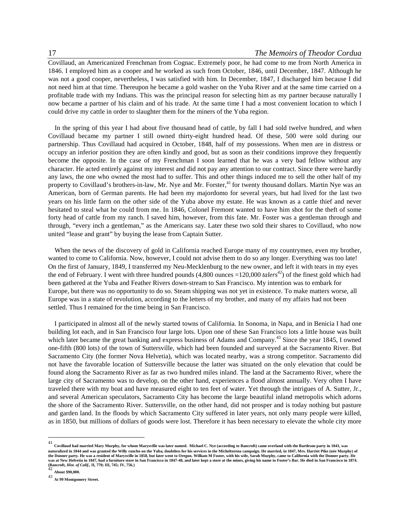Covillaud, an Americanized Frenchman from Cognac. Extremely poor, he had come to me from North America in 1846. I employed him as a cooper and he worked as such from October, 1846, until December, 1847. Although he was not a good cooper, nevertheless, I was satisfied with him. In December, 1847, I discharged him because I did not need him at that time. Thereupon he became a gold washer on the Yuba River and at the same time carried on a profitable trade with my Indians. This was the principal reason for selecting him as my partner because naturally I now became a partner of his claim and of his trade. At the same time I had a most convenient location to which I could drive my cattle in order to slaughter them for the miners of the Yuba region.

In the spring of this year I had about five thousand head of cattle, by fall I had sold twelve hundred, and when Covillaud became my partner I still owned thirty-eight hundred head. Of these, 500 were sold during our partnership. Thus Covillaud had acquired in October, 1848, half of my possessions. When men are in distress or occupy an inferior position they are often kindly and good, but as soon as their conditions improve they frequently become the opposite. In the case of my Frenchman I soon learned that he was a very bad fellow without any character. He acted entirely against my interest and did not pay any attention to our contract. Since there were hardly any laws, the one who owned the most had to suffer. This and other things induced me to sell the other half of my property to Covillaud's brothers-in-law, Mr. Nye and Mr. Forster,<sup>41</sup> for twenty thousand dollars. Martin Nye was an American, born of German parents. He had been my majordomo for several years, but had lived for the last two years on his little farm on the other side of the Yuba above my estate. He was known as a cattle thief and never hesitated to steal what he could from me. In 1846, Colonel Fremont wanted to have him shot for the theft of some forty head of cattle from my ranch. I saved him, however, from this fate. Mr. Foster was a gentleman through and through, "every inch a gentleman," as the Americans say. Later these two sold their shares to Covillaud, who now united "lease and grant" by buying the lease from Captain Sutter.

When the news of the discovery of gold in California reached Europe many of my countrymen, even my brother, wanted to come to California. Now, however, I could not advise them to do so any longer. Everything was too late! On the first of January, 1849, I transferred my Neu-Mecklenburg to the new owner, and left it with tears in my eyes the end of February. I went with three hundred pounds  $(4,800 \text{ ounces} = 120,000 \text{ tales}^{42})$  of the finest gold which had been gathered at the Yuba and Feather Rivers down-stream to San Francisco. My intention was to embark for Europe, but there was no opportunity to do so. Steam shipping was not yet in existence. To make matters worse, all Europe was in a state of revolution, according to the letters of my brother, and many of my affairs had not been settled. Thus I remained for the time being in San Francisco.

I participated in almost all of the newly started towns of California. In Sonoma, in Napa, and in Benicia I had one building lot each, and in San Francisco four large lots. Upon one of these San Francisco lots a little house was built which later became the great banking and express business of Adams and Company.<sup>43</sup> Since the year 1845, I owned one-fifth (800 lots) of the town of Suttersville, which had been founded and surveyed at the Sacramento River. But Sacramento City (the former Nova Helvetia), which was located nearby, was a strong competitor. Sacramento did not have the favorable location of Suttersville because the latter was situated on the only elevation that could be found along the Sacramento River as far as two hundred miles inland. The land at the Sacramento River, where the large city of Sacramento was to develop, on the other hand, experiences a flood almost annually. Very often I have traveled there with my boat and have measured eight to ten feet of water. Yet through the intrigues of A. Sutter, Jr., and several American speculators, Sacramento City has become the large beautiful inland metropolis which adorns the shore of the Sacramento River. Suttersville, on the other hand, did not prosper and is today nothing but pasture and garden land. In the floods by which Sacramento City suffered in later years, not only many people were killed, as in 1850, but millions of dollars of goods were lost. Therefore it has been necessary to elevate the whole city more

<sup>41</sup> **Covillaud had married Mary Murphy, for whom Marysville was later named. Michael C. Nye (according to Bancroft) came overland with the Bartleson party in 1841, was naturalized in 1844 and was granted the Willy rancho on the Yuba, doubtless for his services in the Micheltorena campaign. He married, in 1847, Mrs. Harriet Pike (née Murphy) of**  the Donner party. He was a resident of Marysville in 1858, but later went to Oregon. William M Foster, with his wife, Sarah Murphy, came to California with the Donner party. He<br>was at New Helvetia in 1847, had a furniture **(Bancroft,** *Hist. of Calif.,* **II, 770; III, 745; IV, 756.)** <sup>42</sup> **About \$90,000.**

<sup>43</sup> **At 99 Montgomery Street.**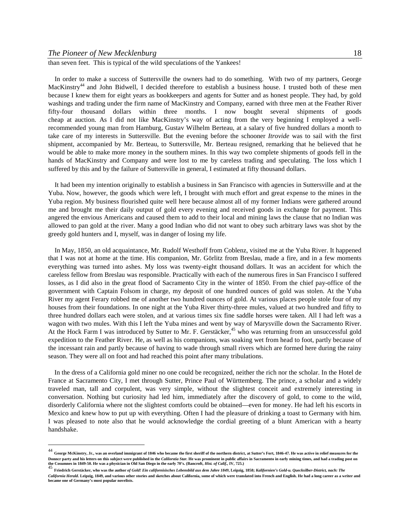44

than seven feet. This is typical of the wild speculations of the Yankees!

In order to make a success of Suttersville the owners had to do something. With two of my partners, George MacKinstry44 and John Bidwell, I decided therefore to establish a business house. I trusted both of these men because I knew them for eight years as bookkeepers and agents for Sutter and as honest people. They had, by gold washings and trading under the firm name of MacKinstry and Company, earned with three men at the Feather River fifty-four thousand dollars within three months. I now bought several shipments of goods cheap at auction. As I did not like MacKinstry's way of acting from the very beginning I employed a wellrecommended young man from Hamburg, Gustav Wilhelm Berteau, at a salary of five hundred dollars a month to take care of my interests in Suttersville. But the evening before the schooner *Itrovide* was to sail with the first shipment, accompanied by Mr. Berteau, to Suttersville, Mr. Berteau resigned, remarking that he believed that he would be able to make more money in the southern mines. In this way two complete shipments of goods fell in the hands of MacKinstry and Company and were lost to me by careless trading and speculating. The loss which I suffered by this and by the failure of Suttersville in general, I estimated at fifty thousand dollars.

It had been my intention originally to establish a business in San Francisco with agencies in Suttersville and at the Yuba. Now, however, the goods which were left, I brought with much effort and great expense to the mines in the Yuba region. My business flourished quite well here because almost all of my former Indians were gathered around me and brought me their daily output of gold every evening and received goods in exchange for payment. This angered the envious Americans and caused them to add to their local and mining laws the clause that no Indian was allowed to pan gold at the river. Many a good Indian who did not want to obey such arbitrary laws was shot by the greedy gold hunters and I, myself, was in danger of losing my life.

In May, 1850, an old acquaintance, Mr. Rudolf Westhoff from Coblenz, visited me at the Yuba River. It happened that I was not at home at the time. His companion, Mr. Görlitz from Breslau, made a fire, and in a few moments everything was turned into ashes. My loss was twenty-eight thousand dollars. It was an accident for which the careless fellow from Breslau was responsible. Practically with each of the numerous fires in San Francisco I suffered losses, as I did also in the great flood of Sacramento City in the winter of 1850. From the chief pay-office of the government with Captain Folsom in charge, my deposit of one hundred ounces of gold was stolen. At the Yuba River my agent Ferary robbed me of another two hundred ounces of gold. At various places people stole four of my houses from their foundations. In one night at the Yuba River thirty-three mules, valued at two hundred and fifty to three hundred dollars each were stolen, and at various times six fine saddle horses were taken. All I had left was a wagon with two mules. With this I left the Yuba mines and went by way of Marysville down the Sacramento River. At the Hock Farm I was introduced by Sutter to Mr. F. Gerstäcker,<sup>45</sup> who was returning from an unsuccessful gold expedition to the Feather River. He, as well as his companions, was soaking wet from head to foot, partly because of the incessant rain and partly because of having to wade through small rivers which are formed here during the rainy season. They were all on foot and had reached this point after many tribulations.

In the dress of a California gold miner no one could be recognized, neither the rich nor the scholar. In the Hotel de France at Sacramento City, I met through Sutter, Prince Paul of Württemberg. The prince, a scholar and a widely traveled man, tall and corpulent, was very simple, without the slightest conceit and extremely interesting in conversation. Nothing but curiosity had led him, immediately after the discovery of gold, to come to the wild, disorderly California where not the slightest comforts could be obtained—even for money. He had left his escorts in Mexico and knew how to put up with everything. Often I had the pleasure of drinking a toast to Germany with him. I was pleased to note also that he would acknowledge the cordial greeting of a blunt American with a hearty handshake.

<sup>44</sup> **George McKinstry, Jr., was an overland immigrant of 1846 who became the first sheriff of the northern district, at Sutter's Fort, 1846-47. He was active in relief measures for the Donncr party and his letters on this subject were published in the** *Calilorstia Star***. He was prominent in public affairs in Sacramento in early mining times, and had a trading post on the calilor of Calilor Star** *of Cali* 

Friedrich Gerstäcker, who was the author of Gold! Ein californisisches Lebensbild aus dem Jahre 1849, Leipzig, 1858; Kalifornien's Gold-u. Quecksilber-District, nach: The *California Herald***. Leipzig, 1849, and various other stories and sketches about California, some of which were translated into French and English. He had a long career as a writer and became one of Germany's most popular novelists.**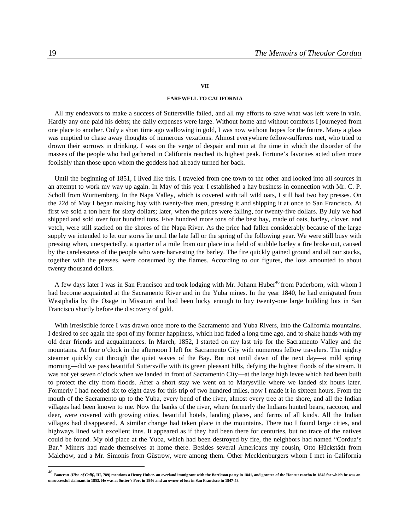### **VII**

### **FAREWELL TO CALIFORNIA**

All my endeavors to make a success of Suttersville failed, and all my efforts to save what was left were in vain. Hardly any one paid his debts; the daily expenses were large. Without home and without comforts I journeyed from one place to another. Only a short time ago wallowing in gold, I was now without hopes for the future. Many a glass was emptied to chase away thoughts of numerous vexations. Almost everywhere fellow-sufferers met, who tried to drown their sorrows in drinking. I was on the verge of despair and ruin at the time in which the disorder of the masses of the people who had gathered in California reached its highest peak. Fortune's favorites acted often more foolishly than those upon whom the goddess had already turned her back.

Until the beginning of 1851, I lived like this. I traveled from one town to the other and looked into all sources in an attempt to work my way up again. In May of this year I established a hay business in connection with Mr. C. P. Scholl from Wurttemberg. In the Napa Valley, which is covered with tall wild oats, I still had two hay presses. On the 22d of May I began making hay with twenty-five men, pressing it and shipping it at once to San Francisco. At first we sold a ton here for sixty dollars; later, when the prices were falling, for twenty-five dollars. By July we had shipped and sold over four hundred tons. Five hundred more tons of the best hay, made of oats, barley, clover, and vetch, were still stacked on the shores of the Napa River. As the price had fallen considerably because of the large supply we intended to let our stores lie until the late fall or the spring of the following year. We were still busy with pressing when, unexpectedly, a quarter of a mile from our place in a field of stubble barley a fire broke out, caused by the carelessness of the people who were harvesting the barley. The fire quickly gained ground and all our stacks, together with the presses, were consumed by the flames. According to our figures, the loss amounted to about twenty thousand dollars.

A few days later I was in San Francisco and took lodging with Mr. Johann Huber<sup>46</sup> from Paderborn, with whom I had become acquainted at the Sacramento River and in the Yuba mines. In the year 1840, he had emigrated from Westphalia by the Osage in Missouri and had been lucky enough to buy twenty-one large building lots in San Francisco shortly before the discovery of gold.

With irresistible force I was drawn once more to the Sacramento and Yuba Rivers, into the California mountains. I desired to see again the spot of my former happiness, which had faded a long time ago, and to shake hands with my old dear friends and acquaintances. In March, 1852, I started on my last trip for the Sacramento Valley and the mountains. At four o'clock in the afternoon I left for Sacramento City with numerous fellow travelers. The mighty steamer quickly cut through the quiet waves of the Bay. But not until dawn of the next day—a mild spring morning—did we pass beautiful Suttersville with its green pleasant hills, defying the highest floods of the stream. It was not yet seven o'clock when we landed in front of Sacramento City—at the large high levee which had been built to protect the city from floods. After a short stay we went on to Marysville where we landed six hours later. Formerly I had needed six to eight days for this trip of two hundred miles, now I made it in sixteen hours. From the mouth of the Sacramento up to the Yuba, every bend of the river, almost every tree at the shore, and all the Indian villages had been known to me. Now the banks of the river, where formerly the Indians hunted bears, raccoon, and deer, were covered with growing cities, beautiful hotels, landing places, and farms of all kinds. All the Indian villages had disappeared. A similar change had taken place in the mountains. There too I found large cities, and highways lined with excellent inns. It appeared as if they had been there for centuries, but no trace of the natives could be found. My old place at the Yuba, which had been destroyed by fire, the neighbors had named "Cordua's Bar." Miners had made themselves at home there. Besides several Americans my cousin, Otto Hückstädt from Malchow, and a Mr. Simonis from Güstrow, were among them. Other Mecklenburgers whom I met in California

<sup>46</sup> **Bancrott** *(Hist. of Calif.,* **III, 789) mentions a Henry Hubcr. an overland immigrant with the Bartleson party in 1841, and grantee of the Honcut rancho in 1845 for which he was an unsuccessful claimant in 1853. He was at Sutter's Fort in 1846 and an owner of lots in San Francisco in 1847-48.**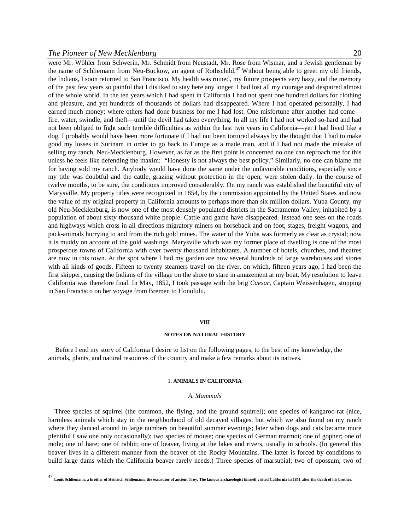### *The Pioneer of New Mecklenburg* 20

<u>.</u>

were Mr. Wöhler from Schwerin, Mr. Schmidt from Neustadt, Mr. Rose from Wismar, and a Jewish gentleman by the name of Schliemann from Neu-Buckow, an agent of Rothschild.<sup>47</sup> Without being able to greet my old friends, the Indians, I soon returned to San Francisco. My health was ruined, my future prospects very hazy, and the memory of the past few years so painful that I disliked to stay here any longer. I had lost all my courage and despaired almost of the whole world. In the ten years which I had spent in California I had not spent one hundred dollars for clothing and pleasure, and yet hundreds of thousands of dollars had disappeared. Where I had operated personally, I had earned much money; where others had done business for me I had lost. One misfortune after another had come fire, water, swindle, and theft—until the devil had taken everything. In all my life I had not worked so-hard and had not been obliged to fight such terrible difficulties as within the last two years in California—yet I had lived like a dog. I probably would have been more fortunate if I had not been tortured always by the thought that I had to make good my losses in Surinam in order to go back to Europe as a made man, and if I had not made the mistake of selling my ranch, Neu-Mecklenburg. However, as far as the first point is concerned no one can reproach me for this unless he feels like defending the maxim: "Honesty is not always the best policy." Similarly, no one can blame me for having sold my ranch. Anybody would have done the same under the unfavorable conditions, especially since my title was doubtful and the cattle, grazing without protection in the open, were stolen daily. In the course of twelve months, to be sure, the conditions improved considerably. On my ranch was established the beautiful city of Marysville. My property titles were recognized in 1854, by the commission appointed by the United States and now the value of my original property in California amounts to perhaps more than six million dollars. Yuba County, my old Neu-Mecklenburg, is now one of the most densely populated districts in the Sacramento Valley, inhabited by a population of about sixty thousand white people. Cattle and game have disappeared. Instead one sees on the roads and highways which cross in all directions migratory miners on horseback and on foot, stages, freight wagons, and pack-animals hurrying to and from the rich gold mines. The water of the Yuba was formerly as clear as crystal; now it is muddy on account of the gold washings. Marysville which was my former place of dwelling is one of the most prosperous towns of California with over twenty thousand inhabitants. A number of hotels, churches, and theatres are now in this town. At the spot where I had my garden are now several hundreds of large warehouses and stores with all kinds of goods. Fifteen to twenty steamers travel on the river, on which, fifteen years ago, I had been the first skipper, causing the Indians of the village on the shore to stare in amazement at my boat. My resolution to leave California was therefore final. In May, 1852, I took passage with the brig *Caesar*, Captain Weissenhagen, stopping in San Francisco on her voyage from Bremen to Honolulu.

### **VIII**

### **NOTES ON NATURAL HISTORY**

Before I end my story of California I desire to list on the following pages, to the best of my knowledge, the animals, plants, and natural resources of the country and make a few remarks about its natives.

### 1. **ANIMALS IN CALIFORNIA**

### *A. Mammals*

Three species of squirrel (the common, the flying, and the ground squirrel); one species of kangaroo-rat (nice, harmless animals which stay in the neighborhood of old decayed villages, but which we also found on my ranch where they danced around in large numbers on beautiful summer evenings; later when dogs and cats became more plentiful I saw one only occasionally); two species of mouse; one species of German marmot; one of gopher; one of mole; one of hare; one of rabbit; one of beaver, living at the lakes and rivers, usually in schools. (In general this beaver lives in a different manner from the beaver of the Rocky Mountains. The latter is forced by conditions to build large dams which the California beaver rarely needs.) Three species of marsupial; two of opossum; two of

<sup>47</sup> **Louis Schliemann, a brother of Heinrich Schliemann, the excavator of ancient Troy. The famous archaeologist himself visited California in 1851 after the death of his brother.**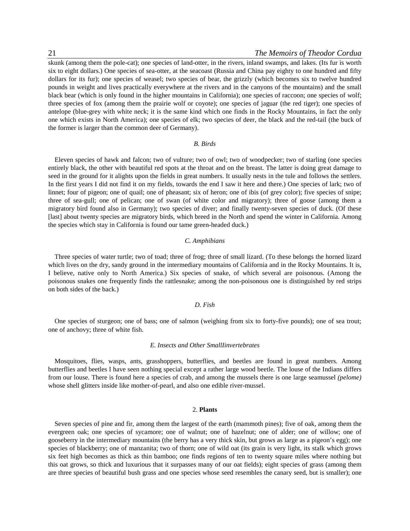skunk (among them the pole-cat); one species of land-otter, in the rivers, inland swamps, and lakes. (Its fur is worth six to eight dollars.) One species of sea-otter, at the seacoast (Russia and China pay eighty to one hundred and fifty dollars for its fur); one species of weasel; two species of bear, the grizzly (which becomes six to twelve hundred pounds in weight and lives practically everywhere at the rivers and in the canyons of the mountains) and the small black bear (which is only found in the higher mountains in California); one species of raccoon; one species of wolf; three species of fox (among them the prairie wolf or coyote); one species of jaguar (the red tiger); one species of antelope (blue-grey with white neck; it is the same kind which one finds in the Rocky Mountains, in fact the only one which exists in North America); one species of elk; two species of deer, the black and the red-tail (the buck of the former is larger than the common deer of Germany).

### *B. Birds*

Eleven species of hawk and falcon; two of vulture; two of owl; two of woodpecker; two of starling (one species entirely black, the other with beautiful red spots at the throat and on the breast. The latter is doing great damage to seed in the ground for it alights upon the fields in great numbers. It usually nests in the tule and follows the settlers. In the first years I did not find it on my fields, towards the end I saw it here and there.) One species of lark; two of linnet; four of pigeon; one of quail; one of pheasant; six of heron; one of ibis (of grey color); five species of snipe; three of sea-gull; one of pelican; one of swan (of white color and migratory); three of goose (among them a migratory bird found also in Germany); two species of diver; and finally twenty-seven species of duck. (Of these [last] about twenty species are migratory birds, which breed in the North and spend the winter in California. Among the species which stay in California is found our tame green-headed duck.)

### *C. Amphibians*

Three species of water turtle; two of toad; three of frog; three of small lizard. (To these belongs the horned lizard which lives on the dry, sandy ground in the intermediary mountains of California and in the Rocky Mountains. It is, I believe, native only to North America.) Six species of snake, of which several are poisonous. (Among the poisonous snakes one frequently finds the rattlesnake; among the non-poisonous one is distinguished by red strips on both sides of the back.)

### *D. Fish*

One species of sturgeon; one of bass; one of salmon (weighing from six to forty-five pounds); one of sea trout; one of anchovy; three of white fish.

### *E. Insects and Other SmallIinvertebrates*

Mosquitoes, flies, wasps, ants, grasshoppers, butterflies, and beetles are found in great numbers. Among butterflies and beetles I have seen nothing special except a rather large wood beetle. The louse of the Indians differs from our louse. There is found here a species of crab, and among the mussels there is one large seamussel *(pelome)*  whose shell glitters inside like mother-of-pearl, and also one edible river-mussel.

### 2. **Plants**

Seven species of pine and fir, among them the largest of the earth (mammoth pines); five of oak, among them the evergreen oak; one species of sycamore; one of walnut; one of hazelnut; one of alder; one of willow; one of gooseberry in the intermediary mountains (the berry has a very thick skin, but grows as large as a pigeon's egg); one species of blackberry; one of manzanita; two of thorn; one of wild oat (its grain is very light, its stalk which grows six feet high becomes as thick as thin bamboo; one finds regions of ten to twenty square miles where nothing but this oat grows, so thick and luxurious that it surpasses many of our oat fields); eight species of grass (among them are three species of beautiful bush grass and one species whose seed resembles the canary seed, but is smaller); one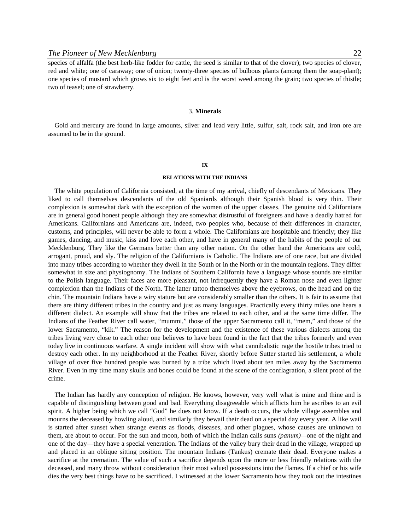species of alfalfa (the best herb-like fodder for cattle, the seed is similar to that of the clover); two species of clover, red and white; one of caraway; one of onion; twenty-three species of bulbous plants (among them the soap-plant); one species of mustard which grows six to eight feet and is the worst weed among the grain; two species of thistle; two of teasel; one of strawberry.

### 3. **Minerals**

Gold and mercury are found in large amounts, silver and lead very little, sulfur, salt, rock salt, and iron ore are assumed to be in the ground.

### **IX**

### **RELATIONS WITH THE INDIANS**

The white population of California consisted, at the time of my arrival, chiefly of descendants of Mexicans. They liked to call themselves descendants of the old Spaniards although their Spanish blood is very thin. Their complexion is somewhat dark with the exception of the women of the upper classes. The genuine old Californians are in general good honest people although they are somewhat distrustful of foreigners and have a deadly hatred for Americans. Californians and Americans are, indeed, two peoples who, because of their differences in character, customs, and principles, will never be able to form a whole. The Californians are hospitable and friendly; they like games, dancing, and music, kiss and love each other, and have in general many of the habits of the people of our Mecklenburg. They like the Germans better than any other nation. On the other hand the Americans are cold, arrogant, proud, and sly. The religion of the Californians is Catholic. The Indians are of one race, but are divided into many tribes according to whether they dwell in the South or in the North or in the mountain regions. They differ somewhat in size and physiognomy. The Indians of Southern California have a language whose sounds are similar to the Polish language. Their faces are more pleasant, not infrequently they have a Roman nose and even lighter complexion than the Indians of the North. The latter tattoo themselves above the eyebrows, on the head and on the chin. The mountain Indians have a wiry stature but are considerably smaller than the others. It is fair to assume that there are thirty different tribes in the country and just as many languages. Practically every thirty miles one hears a different dialect. An example will show that the tribes are related to each other, and at the same time differ. The Indians of the Feather River call water, "mummi," those of the upper Sacramento call it, "mem," and those of the lower Sacramento, "kik." The reason for the development and the existence of these various dialects among the tribes living very close to each other one believes to have been found in the fact that the tribes formerly and even today live in continuous warfare. A single incident will show with what cannibalistic rage the hostile tribes tried to destroy each other. In my neighborhood at the Feather River, shortly before Sutter started his settlement, a whole village of over five hundred people was burned by a tribe which lived about ten miles away by the Sacramento River. Even in my time many skulls and bones could be found at the scene of the conflagration, a silent proof of the crime.

The Indian has hardly any conception of religion. He knows, however, very well what is mine and thine and is capable of distinguishing between good and bad. Everything disagreeable which afflicts him he ascribes to an evil spirit. A higher being which we call "God" he does not know. If a death occurs, the whole village assembles and mourns the deceased by howling aloud, and similarly they bewail their dead on a special day every year. A like wail is started after sunset when strange events as floods, diseases, and other plagues, whose causes are unknown to them, are about to occur. For the sun and moon, both of which the Indian calls suns *(panum)—*one of the night and one of the day—they have a special veneration. The Indians of the valley bury their dead in the village, wrapped up and placed in an oblique sitting position. The mountain Indians (Tankus) cremate their dead. Everyone makes a sacrifice at the cremation. The value of such a sacrifice depends upon the more or less friendly relations with the deceased, and many throw without consideration their most valued possessions into the flames. If a chief or his wife dies the very best things have to be sacrificed. I witnessed at the lower Sacramento how they took out the intestines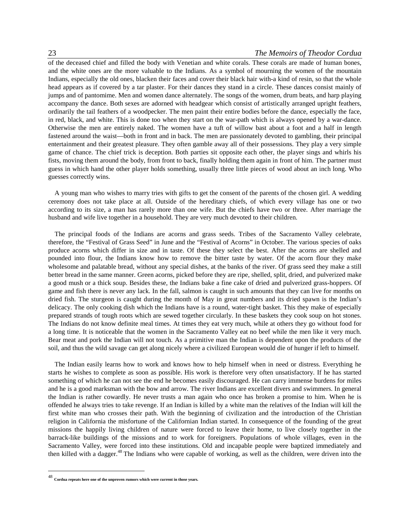of the deceased chief and filled the body with Venetian and white corals. These corals are made of human bones, and the white ones are the more valuable to the Indians. As a symbol of mourning the women of the mountain Indians, especially the old ones, blacken their faces and cover their black hair with-a kind of resin, so that the whole head appears as if covered by a tar plaster. For their dances they stand in a circle. These dances consist mainly of jumps and of pantomime. Men and women dance alternately. The songs of the women, drum beats, and harp playing accompany the dance. Both sexes are adorned with headgear which consist of artistically arranged upright feathers, ordinarily the tail feathers of a woodpecker. The men paint their entire bodies before the dance, especially the face, in red, black, and white. This is done too when they start on the war-path which is always opened by a war-dance. Otherwise the men are entirely naked. The women have a tuft of willow bast about a foot and a half in length fastened around the waist—both in front and in back. The men are passionately devoted to gambling, their principal entertainment and their greatest pleasure. They often gamble away all of their possessions. They play a very simple game of chance. The chief trick is deception. Both parties sit opposite each other, the player sings and whirls his fists, moving them around the body, from front to back, finally holding them again in front of him. The partner must guess in which hand the other player holds something, usually three little pieces of wood about an inch long. Who guesses correctly wins.

A young man who wishes to marry tries with gifts to get the consent of the parents of the chosen girl. A wedding ceremony does not take place at all. Outside of the hereditary chiefs, of which every village has one or two according to its size, a man has rarely more than one wife. But the chiefs have two or three. After marriage the husband and wife live together in a household. They are very much devoted to their children.

The principal foods of the Indians are acorns and grass seeds. Tribes of the Sacramento Valley celebrate, therefore, the "Festival of Grass Seed" in June and the "Festival of Acorns" in October. The various species of oaks produce acorns which differ in size and in taste. Of these they select the best. After the acorns are shelled and pounded into flour, the Indians know how to remove the bitter taste by water. Of the acorn flour they make wholesome and palatable bread, without any special dishes, at the banks of the river. Of grass seed they make a still better bread in the same manner. Green acorns, picked before they are ripe, shelled, split, dried, and pulverized make a good mush or a thick soup. Besides these, the Indians bake a fine cake of dried and pulverized grass-hoppers. Of game and fish there is never any lack. In the fall, salmon is caught in such amounts that they can live for months on dried fish. The sturgeon is caught during the month of May in great numbers and its dried spawn is the Indian's delicacy. The only cooking dish which the Indians have is a round, water-tight basket. This they make of especially prepared strands of tough roots which are sewed together circularly. In these baskets they cook soup on hot stones. The Indians do not know definite meal times. At times they eat very much, while at others they go without food for a long time. It is noticeable that the women in the Sacramento Valley eat no beef while the men like it very much. Bear meat and pork the Indian will not touch. As a primitive man the Indian is dependent upon the products of the soil, and thus the wild savage can get along nicely where a civilized European would die of hunger if left to himself.

The Indian easily learns how to work and knows how to help himself when in need or distress. Everything he starts he wishes to complete as soon as possible. His work is therefore very often unsatisfactory. If he has started something of which he can not see the end he becomes easily discouraged. He can carry immense burdens for miles and he is a good marksman with the bow and arrow. The river Indians are excellent divers and swimmers. In general the Indian is rather cowardly. He never trusts a man again who once has broken a promise to him. When he is offended he always tries to take revenge. If an Indian is killed by a white man the relatives of the Indian will kill the first white man who crosses their path. With the beginning of civilization and the introduction of the Christian religion in California the misfortune of the Californian Indian started. In consequence of the founding of the great missions the happily living children of nature were forced to leave their home, to live closely together in the barrack-like buildings of the missions and to work for foreigners. Populations of whole villages, even in the Sacramento Valley, were forced into these institutions. Old and incapable people were baptized immediately and then killed with a dagger.<sup>48</sup> The Indians who were capable of working, as well as the children, were driven into the

<sup>48</sup> **Cordua repeats here one of the unproven rumors which were current in those years.**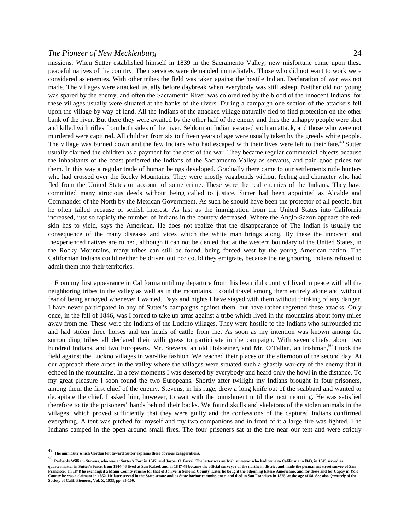### *The Pioneer of New Mecklenburg* 24

missions. When Sutter established himself in 1839 in the Sacramento Valley, new misfortune came upon these peaceful natives of the country. Their services were demanded immediately. Those who did not want to work were considered as enemies. With other tribes the field was taken against the hostile Indian. Declaration of war was not made. The villages were attacked usually before daybreak when everybody was still asleep. Neither old nor young was spared by the enemy, and often the Sacramento River was colored red by the blood of the innocent Indians, for these villages usually were situated at the banks of the rivers. During a campaign one section of the attackers fell upon the village by way of land. All the Indians of the attacked village naturally fled to find protection on the other bank of the river. But there they were awaited by the other half of the enemy and thus the unhappy people were shot and killed with rifles from both sides of the river. Seldom an Indian escaped such an attack, and those who were not murdered were captured. All children from six to fifteen years of age were usually taken by the greedy white people. The village was burned down and the few Indians who had escaped with their lives were left to their fate.<sup>49</sup> Sutter usually claimed the children as a payment for the cost of the war. They became regular commercial objects because the inhabitants of the coast preferred the Indians of the Sacramento Valley as servants, and paid good prices for them. In this way a regular trade of human beings developed. Gradually there came to our settlements rude hunters who had crossed over the Rocky Mountains. They were mostly vagabonds without feeling and character who had fled from the United States on account of some crime. These were the real enemies of the Indians. They have committed many atrocious deeds without being called to justice. Sutter had been appointed as Alcalde and Commander of the North by the Mexican Government. As such he should have been the protector of all people, but he often failed because of selfish interest. As fast as the immigration from the United States into California increased, just so rapidly the number of Indians in the country decreased. Where the Anglo-Saxon appears the redskin has to yield, says the American. He does not realize that the disappearance of The Indian is usually the consequence of the many diseases and vices which the white man brings along. By these the innocent and inexperienced natives are ruined, although it can not be denied that at the western boundary of the United States, in the Rocky Mountains, many tribes can still be found, being forced west by the young American nation. The Californian Indians could neither be driven out nor could they emigrate, because the neighboring Indians refused to admit them into their territories.

From my first appearance in California until my departure from this beautiful country I lived in peace with all the neighboring tribes in the valley as well as in the mountains. I could travel among them entirely alone and without fear of being annoyed whenever I wanted. Days and nights I have stayed with them without thinking of any danger. I have never participated in any of Sutter's campaigns against them, but have rather regretted these attacks. Only once, in the fall of 1846, was I forced to take up arms against a tribe which lived in the mountains about forty miles away from me. These were the Indians of the Luckno villages. They were hostile to the Indians who surrounded me and had stolen three horses and ten heads of cattle from me. As soon as my intention was known among the surrounding tribes all declared their willingness to participate in the campaign. With seven chiefs, about two hundred Indians, and two Europeans, Mr. Stevens, an old Holsteiner, and Mr. O'Fallan, an Irishman,  $^{50}$  I took the field against the Luckno villages in war-like fashion. We reached their places on the afternoon of the second day. At our approach there arose in the valley where the villages were situated such a ghastly war-cry of the enemy that it echoed in the mountains. In a few moments I was deserted by everybody and heard only the howl in the distance. To my great pleasure I soon found the two Europeans. Shortly after twilight my Indians brought in four prisoners, among them the first chief of the enemy. Stevens, in his rage, drew a long knife out of the scabbard and wanted to decapitate the chief. I asked him, however, to wait with the punishment until the next morning. He was satisfied therefore to tie the prisoners' hands behind their backs. We found skulls and skeletons of the stolen animals in the villages, which proved sufficiently that they were guilty and the confessions of the captured Indians confirmed everything. A tent was pitched for myself and my two companions and in front of it a large fire was lighted. The Indians camped in the open around small fires. The four prisoners sat at the fire near our tent and were strictly

 49 **The animosity which Cordua felt toward Sutter explains these obvious exaggerations.**

<sup>50</sup> **Probably William Stevens, who was at Sutter's Fort in 1847, and Jasper O'Farrel. The latter was an Irish surveyor who had come to California in 1843, in 1845 served as <b>Probably William Stevens, who was at Sutter's For** 

quartermaster in Sutter's force, from 1844-46 lived at San Rafael. and in 1847-48 became the official surveyor of the northern district and made the permanent street survey of San<br>Francisco. In 1848 he exchanged a Mann Co **County he was a claimant in 1852. He later served in the State senate and as State harbor commissioner, and died in San Francisco in 1875, at the age of 58. See also** *Quarterly* **of the Society of Calif. Pioneers, Vol. X, 1933, pp. 85-100.**